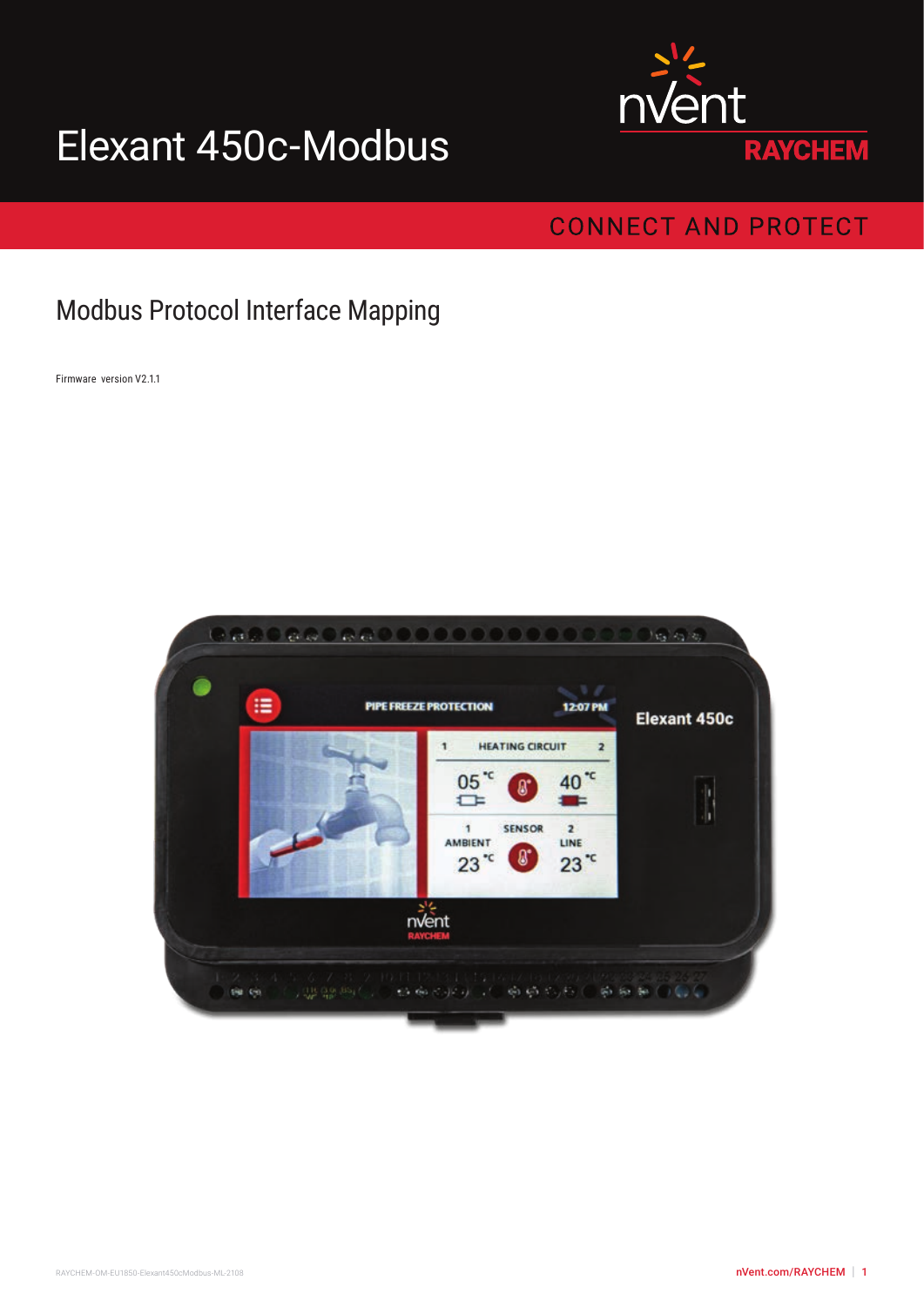# Elexant 450c-Modbus



# **CONNECT AND PROTECT**

# Modbus Protocol Interface Mapping

Firmware version V2.1.1

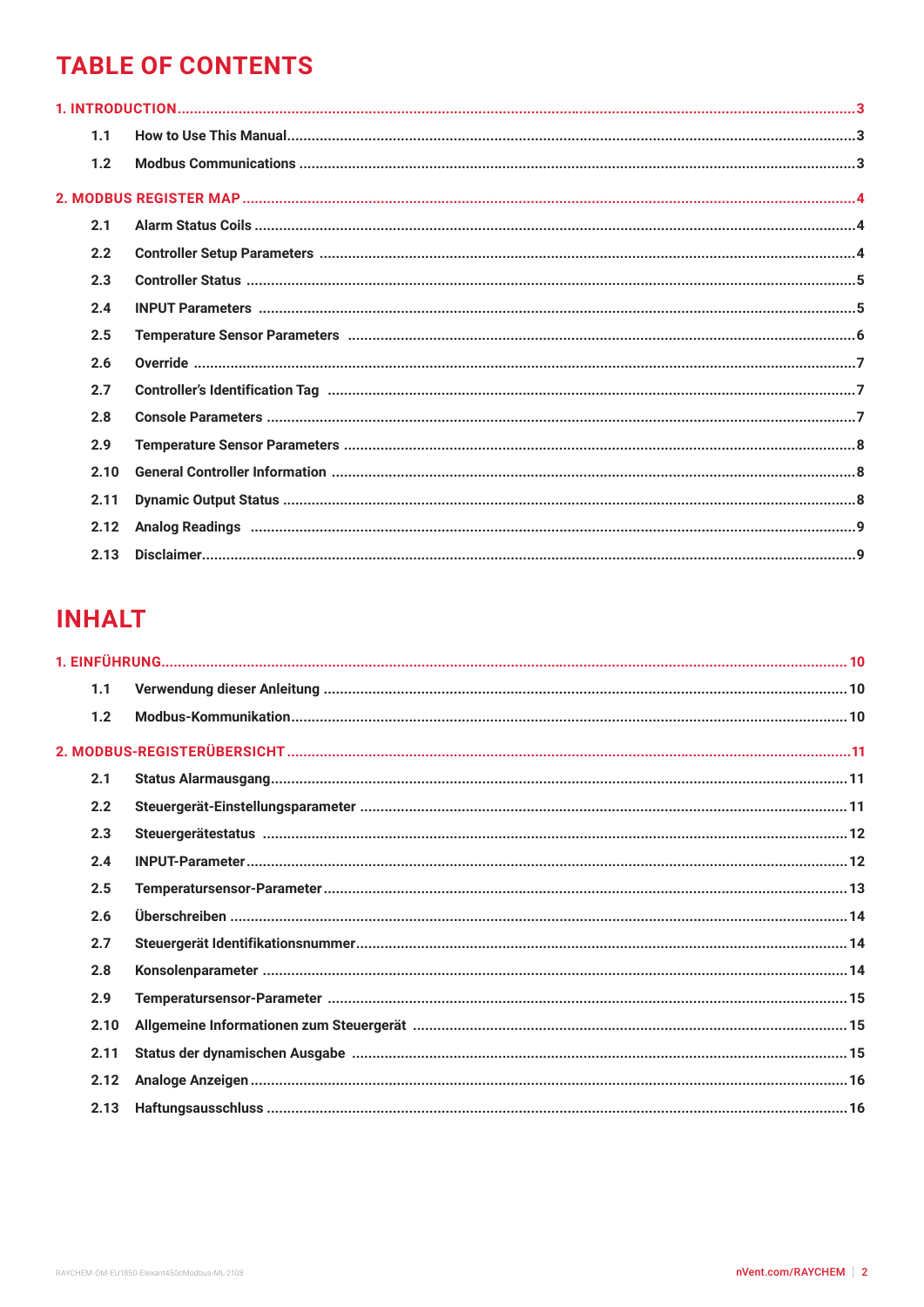# **TABLE OF CONTENTS**

| 1.1  |  |
|------|--|
| 1.2  |  |
|      |  |
| 2.1  |  |
| 2.2  |  |
| 2.3  |  |
| 2.4  |  |
| 2.5  |  |
| 2.6  |  |
| 2.7  |  |
| 2.8  |  |
| 2.9  |  |
| 2.10 |  |
| 2.11 |  |
| 2.12 |  |
| 2.13 |  |

# **INHALT**

| 1.1  |  |
|------|--|
| 1.2  |  |
|      |  |
| 2.1  |  |
| 2.2  |  |
| 2.3  |  |
| 2.4  |  |
| 2.5  |  |
| 2.6  |  |
| 2.7  |  |
| 2.8  |  |
| 2.9  |  |
| 2.10 |  |
| 2.11 |  |
| 2.12 |  |
| 2.13 |  |
|      |  |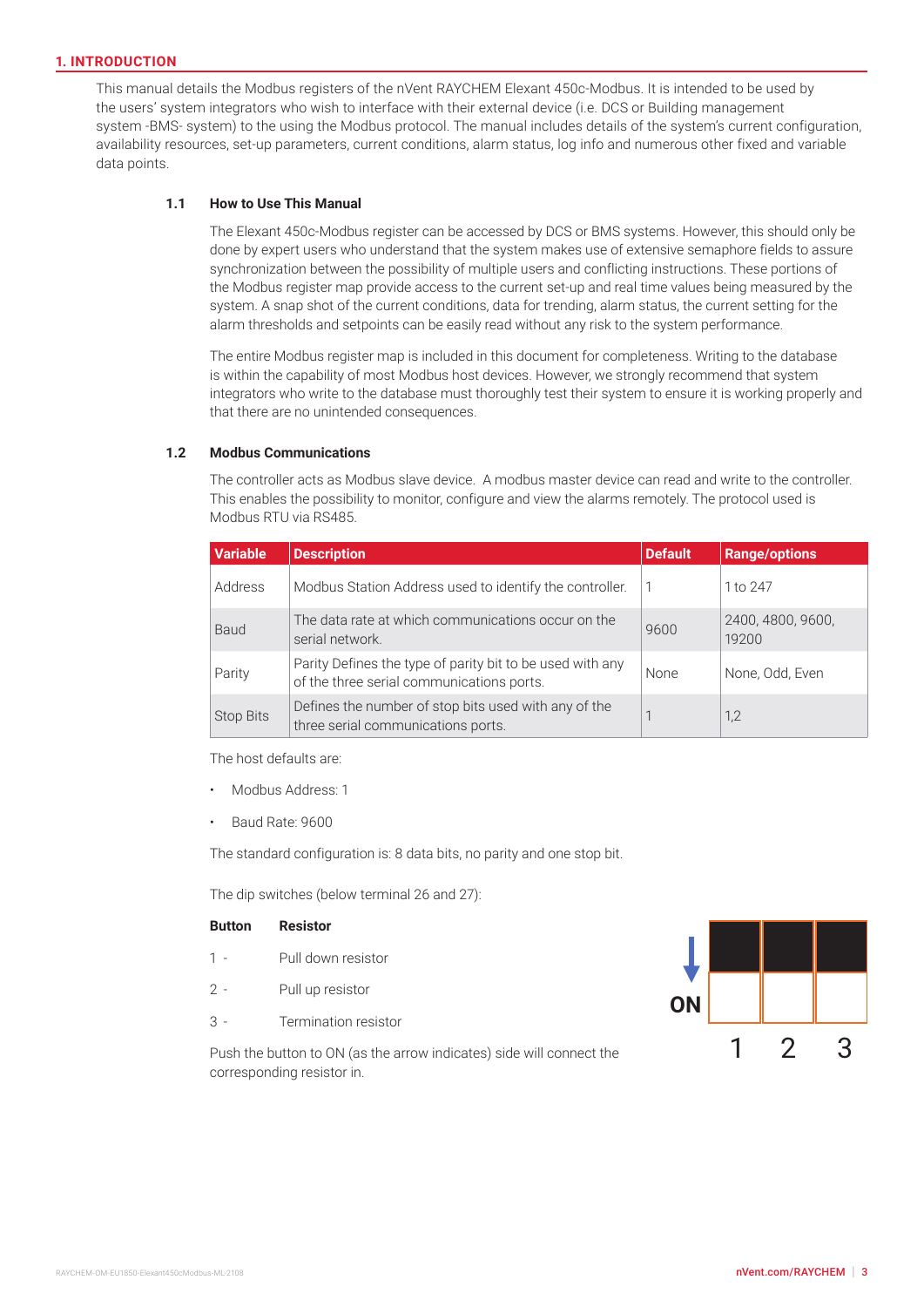#### <span id="page-2-0"></span>**1. INTRODUCTION**

This manual details the Modbus registers of the nVent RAYCHEM Elexant 450c-Modbus. It is intended to be used by the users' system integrators who wish to interface with their external device (i.e. DCS or Building management system -BMS- system) to the using the Modbus protocol. The manual includes details of the system's current configuration, availability resources, set-up parameters, current conditions, alarm status, log info and numerous other fixed and variable data points.

#### **1.1 How to Use This Manual**

The Elexant 450c-Modbus register can be accessed by DCS or BMS systems. However, this should only be done by expert users who understand that the system makes use of extensive semaphore fields to assure synchronization between the possibility of multiple users and conflicting instructions. These portions of the Modbus register map provide access to the current set-up and real time values being measured by the system. A snap shot of the current conditions, data for trending, alarm status, the current setting for the alarm thresholds and setpoints can be easily read without any risk to the system performance.

The entire Modbus register map is included in this document for completeness. Writing to the database is within the capability of most Modbus host devices. However, we strongly recommend that system integrators who write to the database must thoroughly test their system to ensure it is working properly and that there are no unintended consequences.

#### **1.2 Modbus Communications**

The controller acts as Modbus slave device. A modbus master device can read and write to the controller. This enables the possibility to monitor, configure and view the alarms remotely. The protocol used is Modbus RTU via RS485.

| <b>Variable</b> | <b>Description</b>                                                                                     | <b>Default</b> | <b>Range/options</b>       |
|-----------------|--------------------------------------------------------------------------------------------------------|----------------|----------------------------|
| Address         | Modbus Station Address used to identify the controller.                                                |                | 1 to 247                   |
| <b>Baud</b>     | The data rate at which communications occur on the<br>serial network.                                  | 9600           | 2400, 4800, 9600,<br>19200 |
| Parity          | Parity Defines the type of parity bit to be used with any<br>of the three serial communications ports. | <b>None</b>    | None, Odd, Even            |
| Stop Bits       | Defines the number of stop bits used with any of the<br>three serial communications ports.             |                | 1,2                        |

The host defaults are:

- Modbus Address: 1
- Baud Rate: 9600

The standard configuration is: 8 data bits, no parity and one stop bit.

The dip switches (below terminal 26 and 27):

#### **Button Resistor**

- 1 Pull down resistor
- 2 Pull up resistor
- 3 Termination resistor



Push the button to ON (as the arrow indicates) side will connect the corresponding resistor in.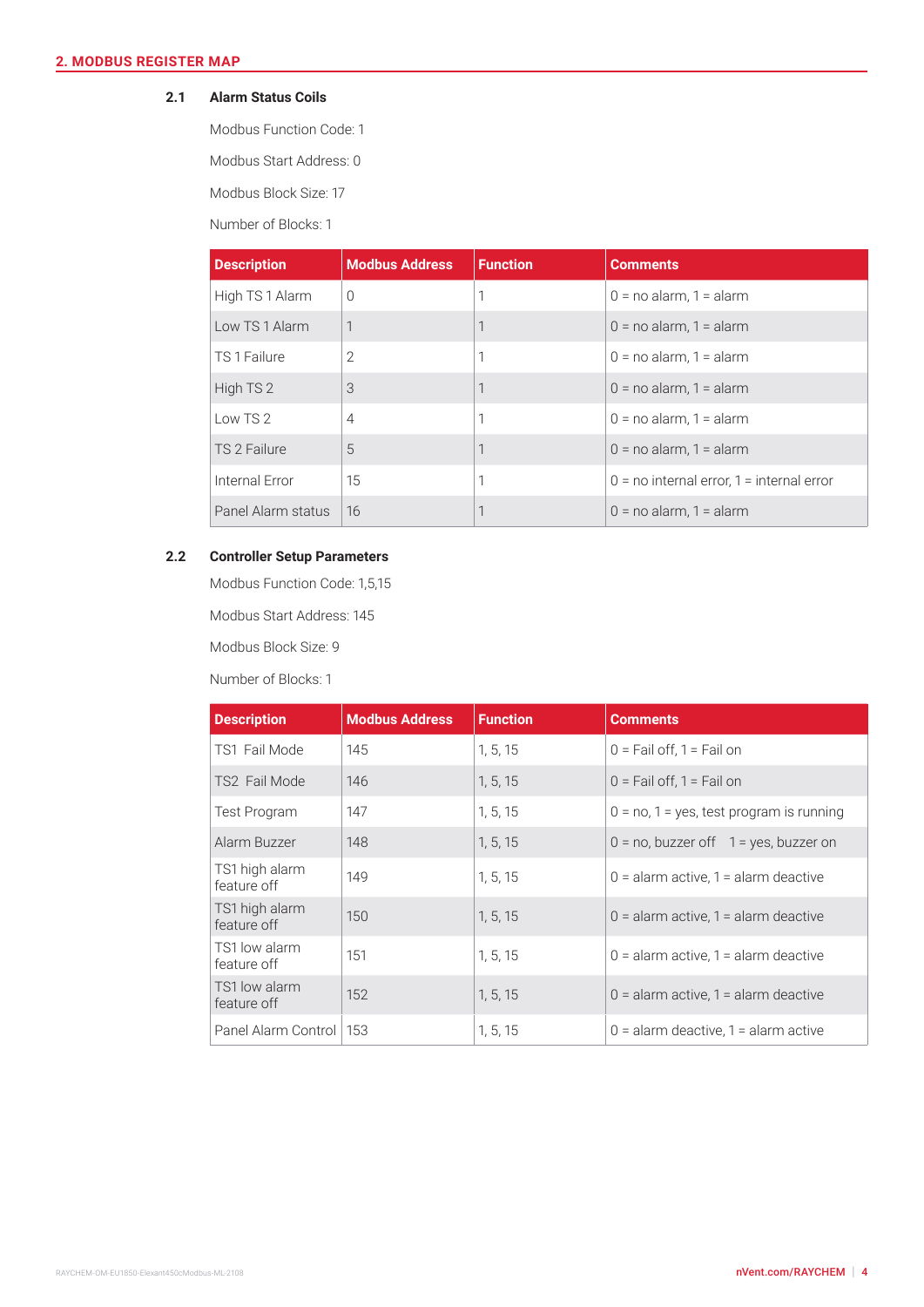#### <span id="page-3-0"></span>**2.1 Alarm Status Coils**

Modbus Function Code: 1

Modbus Start Address: 0

Modbus Block Size: 17

Number of Blocks: 1

| <b>Description</b> | <b>Modbus Address</b> | <b>Function</b> | <b>Comments</b>                               |
|--------------------|-----------------------|-----------------|-----------------------------------------------|
| High TS 1 Alarm    | $\Omega$              |                 | $0 = no$ alarm, $1 =$ alarm                   |
| Low TS 1 Alarm     | 1                     |                 | $0 = no$ alarm, $1 =$ alarm                   |
| TS 1 Failure       | $\overline{2}$        | 1               | $0 = no$ alarm, $1 =$ alarm                   |
| High TS 2          | 3                     | 1               | $0 = no$ alarm, $1 =$ alarm                   |
| Low $TS2$          | $\overline{4}$        | 1               | $0 = no$ alarm, $1 =$ alarm                   |
| TS 2 Failure       | 5                     | 1               | $0 = no$ alarm, $1 =$ alarm                   |
| Internal Error     | 15                    | 1               | $0 =$ no internal error, $1 =$ internal error |
| Panel Alarm status | 16                    |                 | $0 = no$ alarm, $1 =$ alarm                   |

# **2.2 Controller Setup Parameters**

Modbus Function Code: 1,5,15

Modbus Start Address: 145

Modbus Block Size: 9

Number of Blocks: 1

| <b>Description</b>            | <b>Modbus Address</b> | <b>Function</b> | <b>Comments</b>                             |
|-------------------------------|-----------------------|-----------------|---------------------------------------------|
| TS1 Fail Mode                 | 145                   | 1, 5, 15        | $0 =$ Fail off, $1 =$ Fail on               |
| TS2 Fail Mode                 | 146                   | 1, 5, 15        | $0 =$ Fail off, 1 = Fail on                 |
| <b>Test Program</b>           | 147                   | 1, 5, 15        | $0 = no$ , 1 = yes, test program is running |
| Alarm Buzzer                  | 148                   | 1, 5, 15        | $0 = no$ , buzzer off $1 = yes$ , buzzer on |
| TS1 high alarm<br>feature off | 149                   | 1, 5, 15        | $0 =$ alarm active, 1 = alarm deactive      |
| TS1 high alarm<br>feature off | 150                   | 1, 5, 15        | $0 =$ alarm active, 1 = alarm deactive      |
| TS1 low alarm<br>feature off  | 151                   | 1, 5, 15        | $0 =$ alarm active, 1 = alarm deactive      |
| TS1 low alarm<br>feature off  | 152                   | 1, 5, 15        | $0 =$ alarm active, 1 = alarm deactive      |
| Panel Alarm Control           | 153                   | 1, 5, 15        | $0 =$ alarm deactive, 1 = alarm active      |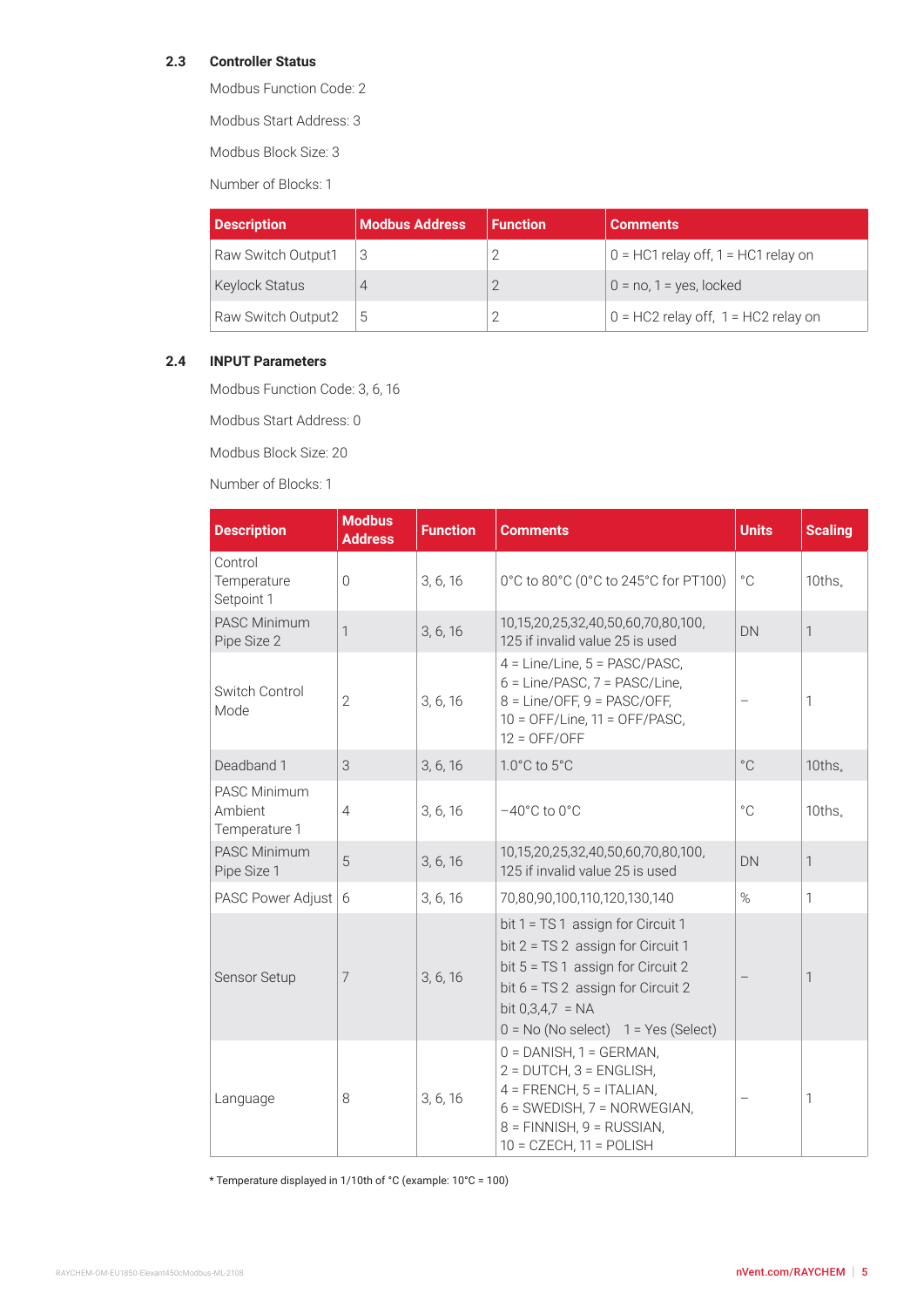# <span id="page-4-0"></span>**2.3 Controller Status**

Modbus Function Code: 2

Modbus Start Address: 3

Modbus Block Size: 3

Number of Blocks: 1

| <b>Description</b>    | <b>Modbus Address</b> | <b>Function</b> | <b>Comments</b>                         |
|-----------------------|-----------------------|-----------------|-----------------------------------------|
| Raw Switch Output1    |                       |                 | $0 = HCl$ relay off, 1 = HC1 relay on   |
| <b>Keylock Status</b> |                       |                 | $0 = no$ , 1 = yes, locked              |
| Raw Switch Output2    |                       |                 | $0 = HC2$ relay off, $1 = HC2$ relay on |

#### **2.4 INPUT Parameters**

Modbus Function Code: 3, 6, 16

Modbus Start Address: 0

Modbus Block Size: 20

Number of Blocks: 1

| <b>Description</b>                              | <b>Modbus</b><br><b>Address</b> | <b>Function</b> | <b>Comments</b>                                                                                                                                                                                                 | <b>Units</b> | <b>Scaling</b>  |
|-------------------------------------------------|---------------------------------|-----------------|-----------------------------------------------------------------------------------------------------------------------------------------------------------------------------------------------------------------|--------------|-----------------|
| Control<br>Temperature<br>Setpoint 1            | $\overline{0}$                  | 3, 6, 16        | 0°C to 80°C (0°C to 245°C for PT100)                                                                                                                                                                            | $^{\circ}$ C | $10$ ths $_{*}$ |
| <b>PASC Minimum</b><br>Pipe Size 2              | 1                               | 3, 6, 16        | 10,15,20,25,32,40,50,60,70,80,100,<br>125 if invalid value 25 is used                                                                                                                                           | DN           | 1               |
| Switch Control<br>Mode                          | $\overline{2}$                  | 3, 6, 16        | 4 = Line/Line, 5 = PASC/PASC,<br>6 = Line/PASC, 7 = PASC/Line,<br>$8 = Line/OFF, 9 = PASC/OFF,$<br>$10 =$ OFF/Line, $11 =$ OFF/PASC,<br>$12 = OFF/OFF$                                                          |              | 1               |
| Deadband 1                                      | 3                               | 3, 6, 16        | 1.0°C to 5°C                                                                                                                                                                                                    | $^{\circ}$ C | $10$ ths $_{*}$ |
| <b>PASC Minimum</b><br>Ambient<br>Temperature 1 | $\overline{4}$                  | 3, 6, 16        | $-40^{\circ}$ C to $0^{\circ}$ C                                                                                                                                                                                | $^{\circ}$ C | $10$ ths $_{*}$ |
| <b>PASC Minimum</b><br>Pipe Size 1              | 5                               | 3, 6, 16        | 10,15,20,25,32,40,50,60,70,80,100,<br>125 if invalid value 25 is used                                                                                                                                           | DN           | 1               |
| PASC Power Adjust 6                             |                                 | 3, 6, 16        | 70,80,90,100,110,120,130,140                                                                                                                                                                                    | $\%$         | 1               |
| Sensor Setup                                    | 7                               | 3, 6, 16        | bit 1 = TS 1 assign for Circuit 1<br>bit 2 = TS 2 assign for Circuit 1<br>bit 5 = TS 1 assign for Circuit 2<br>bit 6 = TS 2 assign for Circuit 2<br>bit $0,3,4,7 = NA$<br>$0 = No (No select) 1 = Yes (Select)$ |              | 1               |
| Language                                        | 8                               | 3, 6, 16        | $0 =$ DANISH, $1 =$ GERMAN,<br>$2 = DUTCH$ , $3 = ENGLISH$ ,<br>$4 = FRENCH, 5 = ITALIAN,$<br>$6 =$ SWEDISH, $7 =$ NORWEGIAN,<br>8 = FINNISH, 9 = RUSSIAN,<br>$10 = CZECH, 11 = POLISH$                         |              | 1               |

\* Temperature displayed in 1/10th of °C (example: 10°C = 100)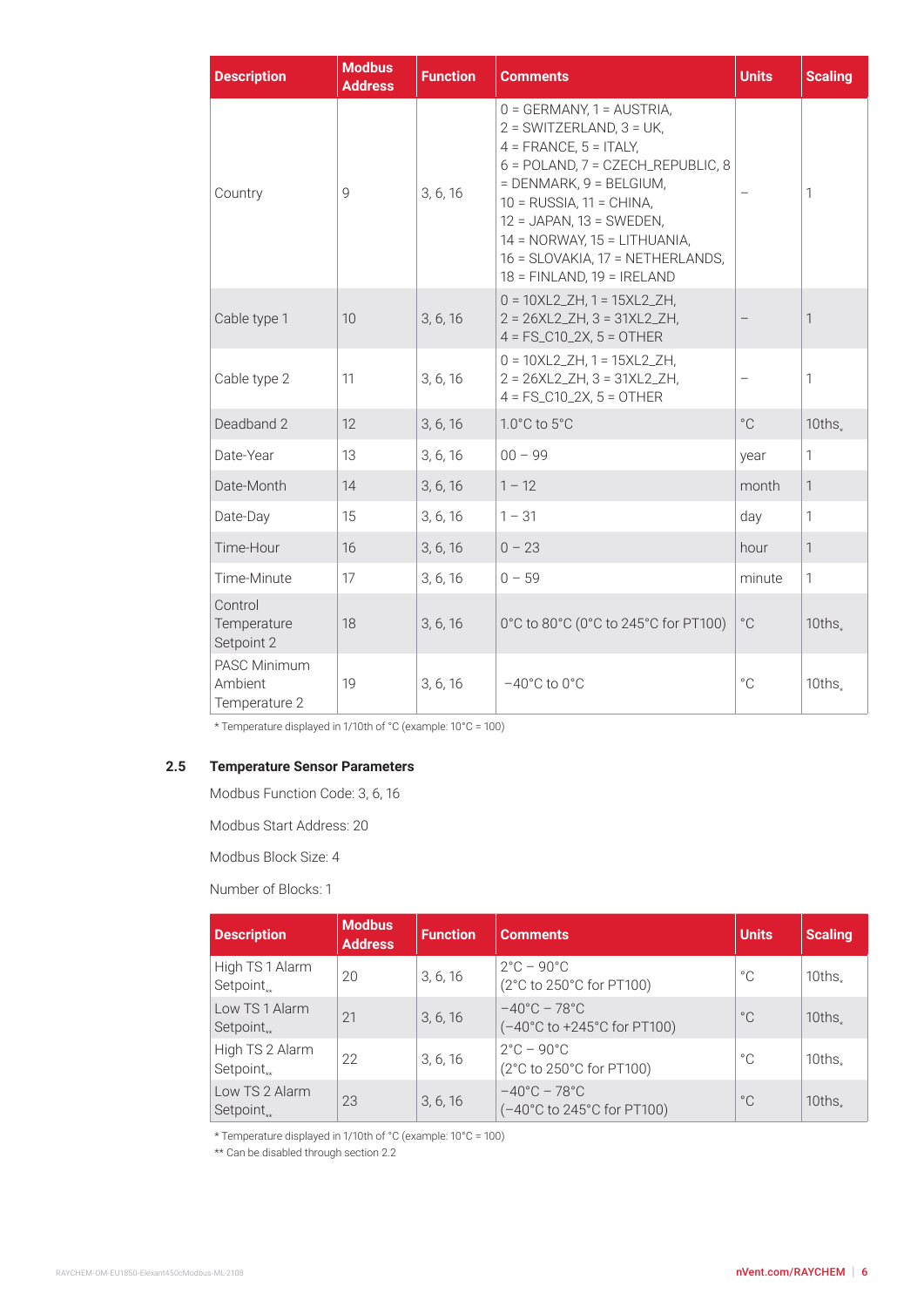<span id="page-5-0"></span>

| <b>Description</b>                              | <b>Modbus</b><br><b>Address</b> | <b>Function</b> | <b>Comments</b>                                                                                                                                                                                                                                                                                                                    | <b>Units</b> | <b>Scaling</b>  |
|-------------------------------------------------|---------------------------------|-----------------|------------------------------------------------------------------------------------------------------------------------------------------------------------------------------------------------------------------------------------------------------------------------------------------------------------------------------------|--------------|-----------------|
| Country                                         | 9                               | 3, 6, 16        | $0 = GERMANY$ . 1 = AUSTRIA.<br>$2 = SWITZERLAND, 3 = UK,$<br>$4 = FRANCE, 5 = ITALY,$<br>6 = POLAND, 7 = CZECH_REPUBLIC, 8<br>$=$ DENMARK, 9 = BELGIUM,<br>$10 = RUSSIA$ , $11 = CHINA$ ,<br>$12 = JAPAN$ , $13 = SWEDEN$ ,<br>$14 = NORWAY, 15 = LITHUANIA,$<br>16 = SLOVAKIA, 17 = NETHERLANDS,<br>$18 = FINLAND, 19 = IRELAND$ |              | 1               |
| Cable type 1                                    | 10                              | 3, 6, 16        | $0 = 10XL2_ZH$ , 1 = 15XL2_ZH,<br>$2 = 26XL2_ZH$ , $3 = 31XL2_ZH$ ,<br>$4 = FS_C10_2X, 5 = OTHER$                                                                                                                                                                                                                                  |              | 1               |
| Cable type 2                                    | 11                              | 3, 6, 16        | $0 = 10XL2_ZH$ , 1 = 15XL2_ZH,<br>$2 = 26XL2_ZH$ , $3 = 31XL2_ZH$ ,<br>$4 = FS_C10_2X, 5 = OTHER$                                                                                                                                                                                                                                  |              | 1               |
| Deadband 2                                      | 12                              | 3, 6, 16        | $1.0^{\circ}$ C to $5^{\circ}$ C                                                                                                                                                                                                                                                                                                   | $^{\circ}$ C | $10$ ths.       |
| Date-Year                                       | 13                              | 3, 6, 16        | $00 - 99$                                                                                                                                                                                                                                                                                                                          | year         | 1               |
| Date-Month                                      | 14                              | 3, 6, 16        | $1 - 12$                                                                                                                                                                                                                                                                                                                           | month        | 1               |
| Date-Day                                        | 15                              | 3, 6, 16        | $1 - 31$                                                                                                                                                                                                                                                                                                                           | day          | 1               |
| Time-Hour                                       | 16                              | 3, 6, 16        | $0 - 23$                                                                                                                                                                                                                                                                                                                           | hour         | 1               |
| Time-Minute                                     | 17                              | 3, 6, 16        | $0 - 59$                                                                                                                                                                                                                                                                                                                           | minute       | 1               |
| Control<br>Temperature<br>Setpoint 2            | 18                              | 3, 6, 16        | 0°C to 80°C (0°C to 245°C for PT100)                                                                                                                                                                                                                                                                                               | $^{\circ}$ C | $10$ ths $_{*}$ |
| <b>PASC Minimum</b><br>Ambient<br>Temperature 2 | 19                              | 3, 6, 16        | $-40^{\circ}$ C to $0^{\circ}$ C                                                                                                                                                                                                                                                                                                   | $^{\circ}$ C | $10$ ths.       |

\* Temperature displayed in 1/10th of °C (example: 10°C = 100)

# **2.5 Temperature Sensor Parameters**

Modbus Function Code: 3, 6, 16

Modbus Start Address: 20

Modbus Block Size: 4

Number of Blocks: 1

| <b>Description</b>                        | <b>Modbus</b><br><b>Address</b> | <b>Function</b> | <b>Comments</b>                                                  | <b>Units</b> | <b>Scaling</b> |
|-------------------------------------------|---------------------------------|-----------------|------------------------------------------------------------------|--------------|----------------|
| High TS 1 Alarm<br>Setpoint $_{**}$       | 20                              | 3, 6, 16        | $2^{\circ}$ C – 90 $^{\circ}$ C<br>(2°C to 250°C for PT100)      | °C           | $10$ ths.      |
| Low TS 1 Alarm<br>Setpoint $_{**}$        | 21                              | 3, 6, 16        | $-40^{\circ}$ C – 78 $^{\circ}$ C<br>(-40°C to +245°C for PT100) | $^{\circ}$ C | 10ths.         |
| High TS 2 Alarm<br>Setpoint <sub>**</sub> | 22                              | 3, 6, 16        | $2^{\circ}$ C – 90 $^{\circ}$ C<br>(2°C to 250°C for PT100)      | °C           | $10$ ths.      |
| Low TS 2 Alarm<br>$Setpoint_{**}$         | 23                              | 3, 6, 16        | $-40^{\circ}$ C – 78 $^{\circ}$ C<br>(-40°C to 245°C for PT100)  | $^{\circ}$ C | 10ths.         |

\* Temperature displayed in 1/10th of °C (example: 10°C = 100)

\*\* Can be disabled through section 2.2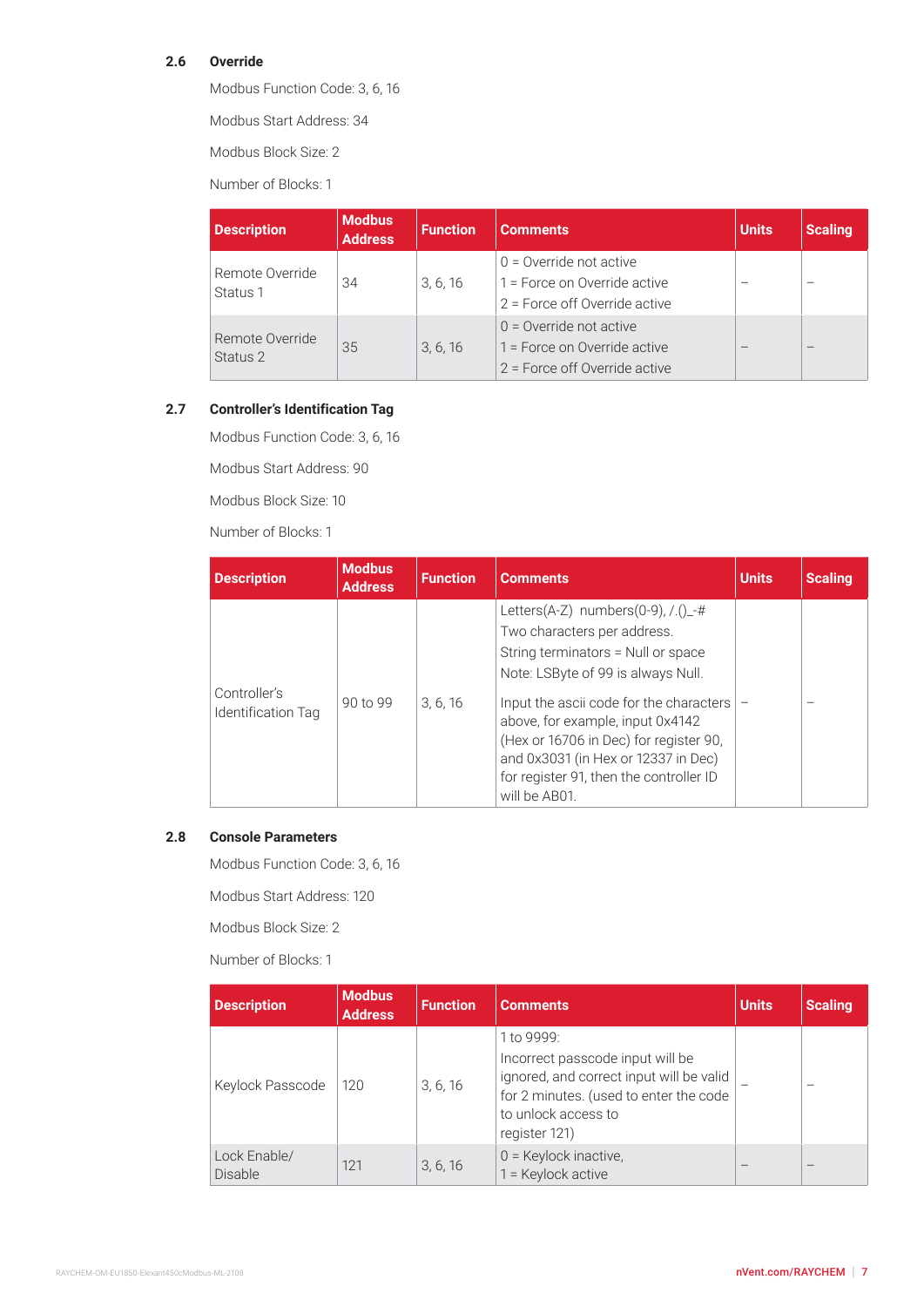# <span id="page-6-0"></span>**2.6 Override**

Modbus Function Code: 3, 6, 16

Modbus Start Address: 34

Modbus Block Size: 2

Number of Blocks: 1

| <b>Description</b> | <b>Modbus</b><br><b>Address</b> | <b>Function</b> | <b>Comments</b>                                           | <b>Units</b> | <b>Scaling</b>  |
|--------------------|---------------------------------|-----------------|-----------------------------------------------------------|--------------|-----------------|
| Remote Override    | 34                              | 3, 6, 16        | $0 =$ Override not active<br>1 = Force on Override active |              | -               |
| Status 1           |                                 |                 | 2 = Force off Override active                             |              |                 |
| Remote Override    |                                 |                 | $0 =$ Override not active                                 |              |                 |
| Status 2           | 35                              | 3, 6, 16        | 1 = Force on Override active                              |              | $\qquad \qquad$ |
|                    |                                 |                 | 2 = Force off Override active                             |              |                 |

# **2.7 Controller's Identification Tag**

Modbus Function Code: 3, 6, 16

Modbus Start Address: 90

Modbus Block Size: 10

Number of Blocks: 1

| <b>Description</b>                 | <b>Modbus</b><br><b>Address</b> | <b>Function</b> | <b>Comments</b>                                                                                                                                                                                                                                                                                                                                                                       | <b>Units</b> | <b>Scaling</b> |
|------------------------------------|---------------------------------|-----------------|---------------------------------------------------------------------------------------------------------------------------------------------------------------------------------------------------------------------------------------------------------------------------------------------------------------------------------------------------------------------------------------|--------------|----------------|
| Controller's<br>Identification Tag | 90 to 99                        | 3, 6, 16        | Letters(A-Z) numbers(0-9), $/( )_{{}_{-}}\#$<br>Two characters per address.<br>String terminators = Null or space<br>Note: LSByte of 99 is always Null.<br>Input the ascii code for the characters  <br>above, for example, input 0x4142<br>(Hex or 16706 in Dec) for register 90,<br>and 0x3031 (in Hex or 12337 in Dec)<br>for register 91, then the controller ID<br>will be AB01. |              |                |

#### **2.8 Console Parameters**

Modbus Function Code: 3, 6, 16

Modbus Start Address: 120

Modbus Block Size: 2

Number of Blocks: 1

| <b>Description</b>      | <b>Modbus</b><br><b>Address</b> | <b>Function</b> | <b>Comments</b>                                                                                                                                                              | <b>Units</b> | <b>Scaling</b> |
|-------------------------|---------------------------------|-----------------|------------------------------------------------------------------------------------------------------------------------------------------------------------------------------|--------------|----------------|
| Keylock Passcode        | 120                             | 3, 6, 16        | 1 to 9999:<br>Incorrect passcode input will be<br>ignored, and correct input will be valid<br>for 2 minutes. (used to enter the code<br>to unlock access to<br>register 121) |              |                |
| Lock Enable/<br>Disable | 121                             | 3, 6, 16        | $0 =$ Keylock inactive,<br>1 = Keylock active                                                                                                                                |              |                |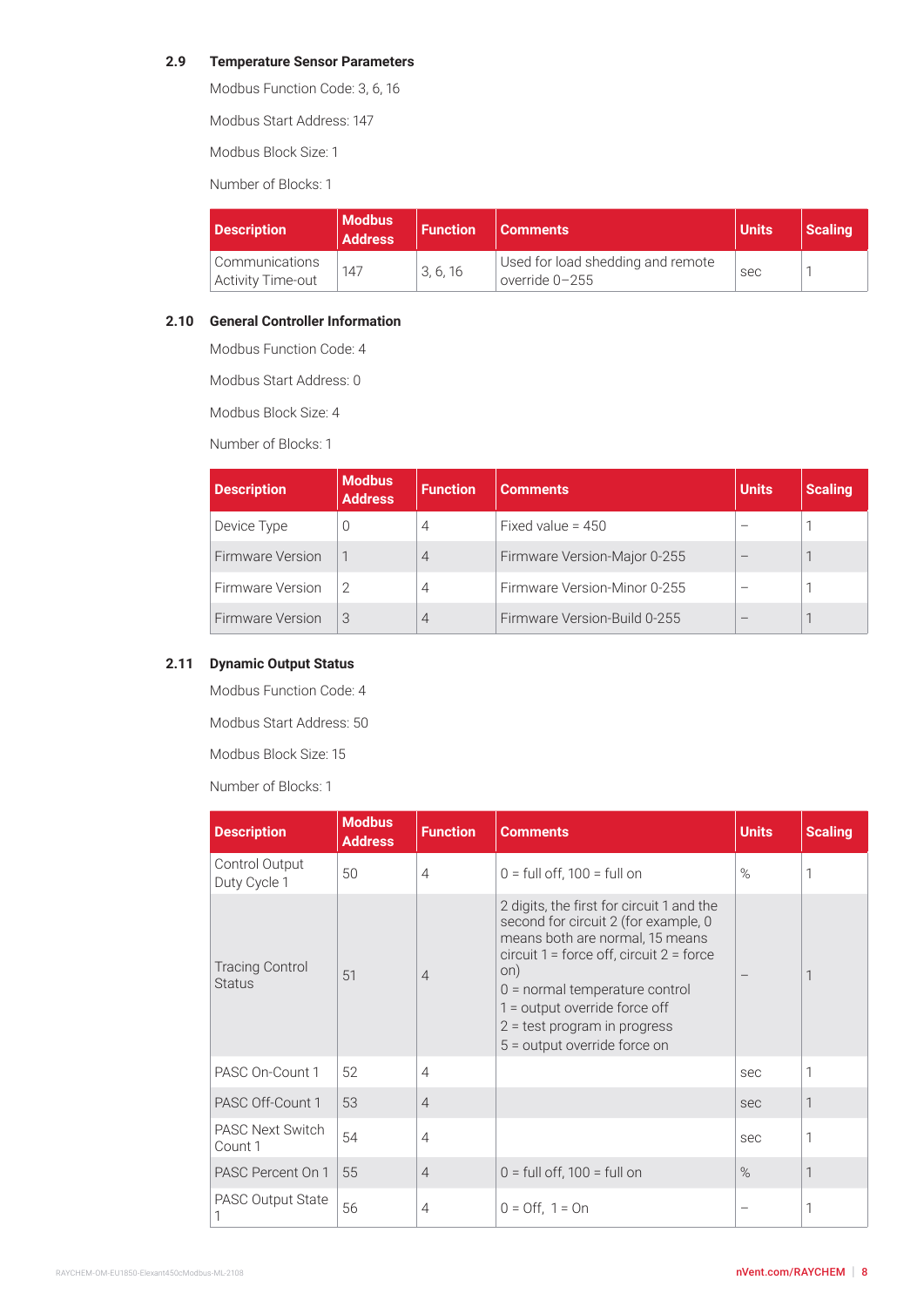#### <span id="page-7-0"></span>**2.9 Temperature Sensor Parameters**

Modbus Function Code: 3, 6, 16

Modbus Start Address: 147

Modbus Block Size: 1

Number of Blocks: 1

| <b>Description</b>                         | <b>Modbus</b><br><b>Address</b> | <b>Function</b> | <b>Comments</b>                                       | Units | Scaling |
|--------------------------------------------|---------------------------------|-----------------|-------------------------------------------------------|-------|---------|
| Communications<br><b>Activity Time-out</b> | 147                             | 3, 6, 16        | Used for load shedding and remote<br>override $0-255$ | sec   |         |

#### **2.10 General Controller Information**

Modbus Function Code: 4

Modbus Start Address: 0

Modbus Block Size: 4

Number of Blocks: 1

| <b>Description</b>      | <b>Modbus</b><br><b>Address</b> | <b>Function</b> | <b>Comments</b>              | <b>Units</b> | <b>Scaling</b> |
|-------------------------|---------------------------------|-----------------|------------------------------|--------------|----------------|
| Device Type             | $\left( \right)$                | 4               | Fixed value = $450$          |              |                |
| <b>Firmware Version</b> |                                 | $\overline{4}$  | Firmware Version-Major 0-255 |              |                |
| Firmware Version        | 2                               | 4               | Firmware Version-Minor 0-255 |              |                |
| <b>Firmware Version</b> | 3                               | $\overline{4}$  | Firmware Version-Build 0-255 |              |                |

# **2.11 Dynamic Output Status**

Modbus Function Code: 4

Modbus Start Address: 50

Modbus Block Size: 15

Number of Blocks: 1

| <b>Description</b>                      | <b>Modbus</b><br><b>Address</b> | <b>Function</b> | <b>Comments</b>                                                                                                                                                                                                                                                                                                      | <b>Units</b> | <b>Scaling</b> |
|-----------------------------------------|---------------------------------|-----------------|----------------------------------------------------------------------------------------------------------------------------------------------------------------------------------------------------------------------------------------------------------------------------------------------------------------------|--------------|----------------|
| Control Output<br>Duty Cycle 1          | 50                              | $\overline{4}$  | $0 =$ full off, 100 = full on                                                                                                                                                                                                                                                                                        | $\%$         |                |
| <b>Tracing Control</b><br><b>Status</b> | 51                              | $\overline{4}$  | 2 digits, the first for circuit 1 and the<br>second for circuit 2 (for example, 0<br>means both are normal, 15 means<br>circuit $1 =$ force off, circuit $2 =$ force<br>on)<br>$0 =$ normal temperature control<br>$1 =$ output override force off<br>$2 = test program$ in progress<br>5 = output override force on |              | 1              |
| PASC On-Count 1                         | 52                              | $\overline{4}$  |                                                                                                                                                                                                                                                                                                                      | sec          | 1              |
| PASC Off-Count 1                        | 53                              | $\overline{4}$  |                                                                                                                                                                                                                                                                                                                      | sec          | $\mathbf{1}$   |
| <b>PASC Next Switch</b><br>Count 1      | 54                              | $\overline{4}$  |                                                                                                                                                                                                                                                                                                                      | sec          | 1              |
| PASC Percent On 1                       | 55                              | $\overline{4}$  | $0 = full$ off, 100 = full on                                                                                                                                                                                                                                                                                        | $\%$         | $\mathbf{1}$   |
| <b>PASC Output State</b>                | 56                              | 4               | $0 =$ Off, $1 =$ On                                                                                                                                                                                                                                                                                                  |              |                |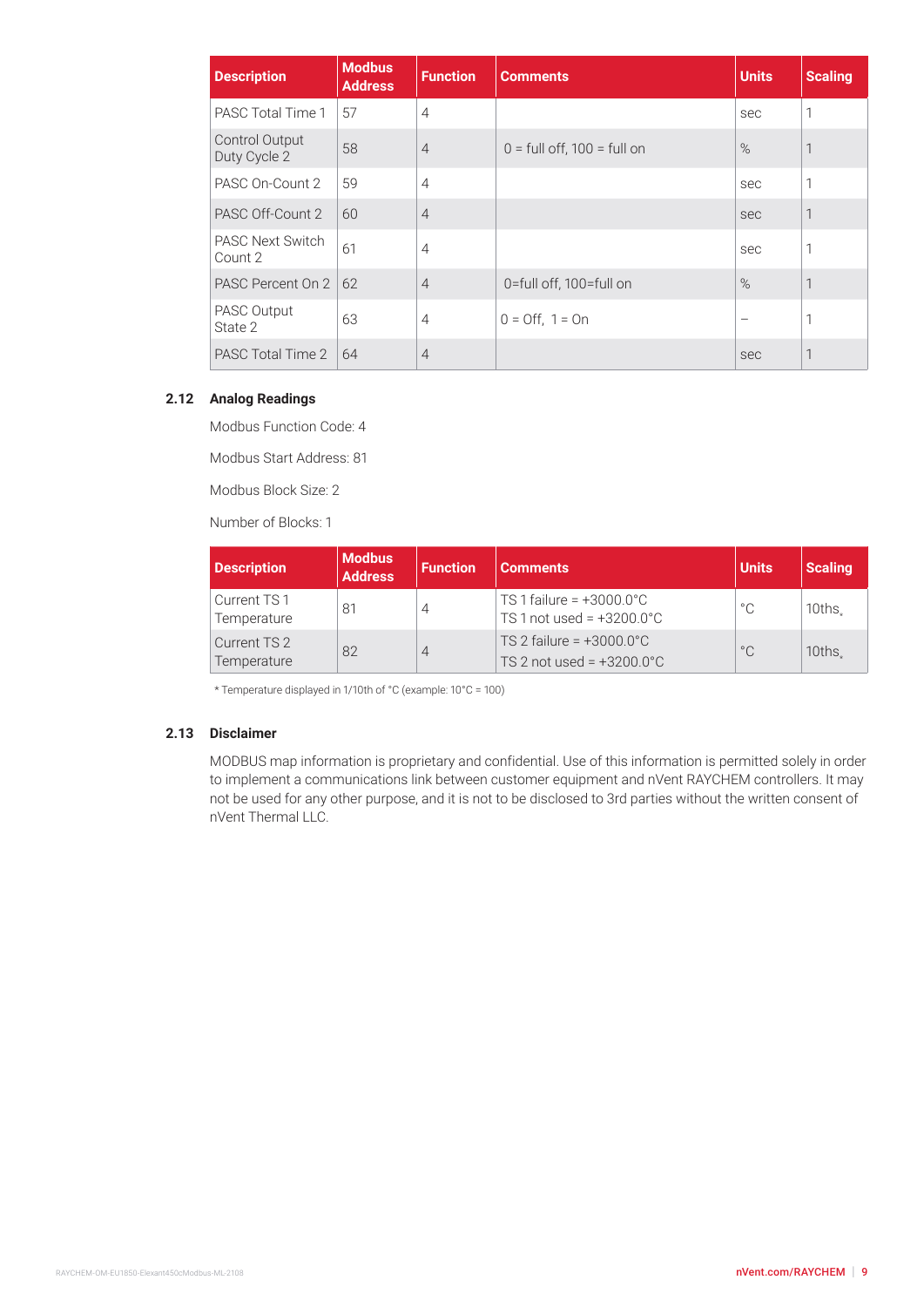<span id="page-8-0"></span>

| <b>Description</b>                 | <b>Modbus</b><br><b>Address</b> | <b>Function</b> | <b>Comments</b>                 | <b>Units</b> | <b>Scaling</b> |
|------------------------------------|---------------------------------|-----------------|---------------------------------|--------------|----------------|
| PASC Total Time 1                  | 57                              | $\overline{4}$  |                                 | sec          | 1              |
| Control Output<br>Duty Cycle 2     | 58                              | $\overline{4}$  | $0 =$ full off, 100 = full on   | $\%$         | 1              |
| PASC On-Count 2                    | 59                              | $\overline{4}$  |                                 | sec          | 1              |
| PASC Off-Count 2                   | 60                              | $\overline{4}$  |                                 | sec          | 1              |
| <b>PASC Next Switch</b><br>Count 2 | 61                              | $\overline{4}$  |                                 | sec          | 1              |
| PASC Percent On 2                  | 62                              | $\overline{4}$  | 0=full off, 100=full on         | $\%$         | 1              |
| PASC Output<br>State 2             | 63                              | $\overline{4}$  | $0 = \text{Off}, 1 = \text{On}$ |              | 1              |
| PASC Total Time 2                  | 64                              | $\overline{4}$  |                                 | sec          | 1              |

#### **2.12 Analog Readings**

Modbus Function Code: 4

Modbus Start Address: 81

Modbus Block Size: 2

Number of Blocks: 1

| <b>Description</b>          | <b>Modbus</b><br><b>Address</b> | <b>Function</b> | <b>Comments</b>                                                           | <b>Units</b> | <b>Scaling</b> |
|-----------------------------|---------------------------------|-----------------|---------------------------------------------------------------------------|--------------|----------------|
| Current TS1<br>Temperature  | $8^{\circ}$                     | 4               | TS 1 failure = $+3000.0^{\circ}$ C<br>TS 1 not used = $+3200.0^{\circ}$ C | $\circ \cap$ | 10ths.         |
| Current TS 2<br>Temperature | 82                              | 4               | TS 2 failure = $+3000.0^{\circ}$ C<br>TS 2 not used = $+3200.0^{\circ}$ C | $^{\circ}$ C | 10ths.         |

\* Temperature displayed in 1/10th of °C (example: 10°C = 100)

#### **2.13 Disclaimer**

MODBUS map information is proprietary and confidential. Use of this information is permitted solely in order to implement a communications link between customer equipment and nVent RAYCHEM controllers. It may not be used for any other purpose, and it is not to be disclosed to 3rd parties without the written consent of nVent Thermal LLC.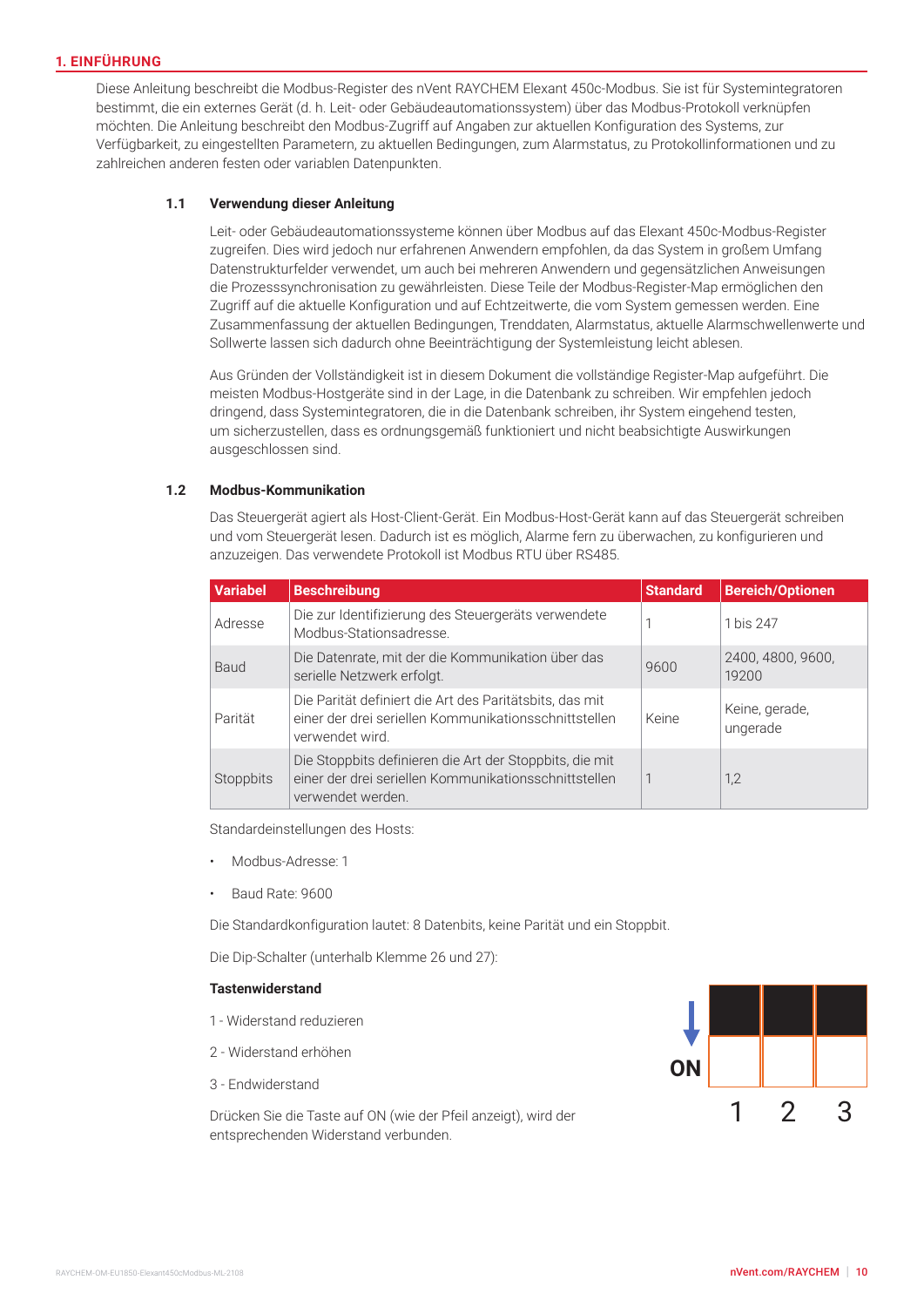#### **1. EINFÜHRUNG**

Diese Anleitung beschreibt die Modbus-Register des nVent RAYCHEM Elexant 450c-Modbus. Sie ist für Systemintegratoren bestimmt, die ein externes Gerät (d. h. Leit- oder Gebäudeautomationssystem) über das Modbus-Protokoll verknüpfen möchten. Die Anleitung beschreibt den Modbus-Zugriff auf Angaben zur aktuellen Konfiguration des Systems, zur Verfügbarkeit, zu eingestellten Parametern, zu aktuellen Bedingungen, zum Alarmstatus, zu Protokollinformationen und zu zahlreichen anderen festen oder variablen Datenpunkten.

#### **1.1 Verwendung dieser Anleitung**

Leit- oder Gebäudeautomationssysteme können über Modbus auf das Elexant 450c-Modbus-Register zugreifen. Dies wird jedoch nur erfahrenen Anwendern empfohlen, da das System in großem Umfang Datenstrukturfelder verwendet, um auch bei mehreren Anwendern und gegensätzlichen Anweisungen die Prozesssynchronisation zu gewährleisten. Diese Teile der Modbus-Register-Map ermöglichen den Zugriff auf die aktuelle Konfiguration und auf Echtzeitwerte, die vom System gemessen werden. Eine Zusammenfassung der aktuellen Bedingungen, Trenddaten, Alarmstatus, aktuelle Alarmschwellenwerte und Sollwerte lassen sich dadurch ohne Beeinträchtigung der Systemleistung leicht ablesen.

Aus Gründen der Vollständigkeit ist in diesem Dokument die vollständige Register-Map aufgeführt. Die meisten Modbus-Hostgeräte sind in der Lage, in die Datenbank zu schreiben. Wir empfehlen jedoch dringend, dass Systemintegratoren, die in die Datenbank schreiben, ihr System eingehend testen, um sicherzustellen, dass es ordnungsgemäß funktioniert und nicht beabsichtigte Auswirkungen ausgeschlossen sind.

#### **1.2 Modbus-Kommunikation**

Das Steuergerät agiert als Host-Client-Gerät. Ein Modbus-Host-Gerät kann auf das Steuergerät schreiben und vom Steuergerät lesen. Dadurch ist es möglich, Alarme fern zu überwachen, zu konfigurieren und anzuzeigen. Das verwendete Protokoll ist Modbus RTU über RS485.

| <b>Variabel</b> | <b>Beschreibung</b>                                                                                                                   | <b>Standard</b> | <b>Bereich/Optionen</b>    |
|-----------------|---------------------------------------------------------------------------------------------------------------------------------------|-----------------|----------------------------|
| Adresse         | Die zur Identifizierung des Steuergeräts verwendete<br>Modbus-Stationsadresse.                                                        |                 | 1 bis 247                  |
| Baud            | Die Datenrate, mit der die Kommunikation über das<br>serielle Netzwerk erfolgt.                                                       | 9600            | 2400, 4800, 9600,<br>19200 |
| Parität         | Die Parität definiert die Art des Paritätsbits, das mit<br>einer der drei seriellen Kommunikationsschnittstellen<br>verwendet wird.   | Keine           | Keine, gerade,<br>ungerade |
| Stoppbits       | Die Stoppbits definieren die Art der Stoppbits, die mit<br>einer der drei seriellen Kommunikationsschnittstellen<br>verwendet werden. |                 | 1,2                        |

Standardeinstellungen des Hosts:

- Modbus-Adresse: 1
- Baud Rate: 9600

Die Standardkonfiguration lautet: 8 Datenbits, keine Parität und ein Stoppbit.

Die Dip-Schalter (unterhalb Klemme 26 und 27):

#### **Tastenwiderstand**

- 1 Widerstand reduzieren
- 2 Widerstand erhöhen
- 3 Endwiderstand

Drücken Sie die Taste auf ON (wie der Pfeil anzeigt), wird der entsprechenden Widerstand verbunden.

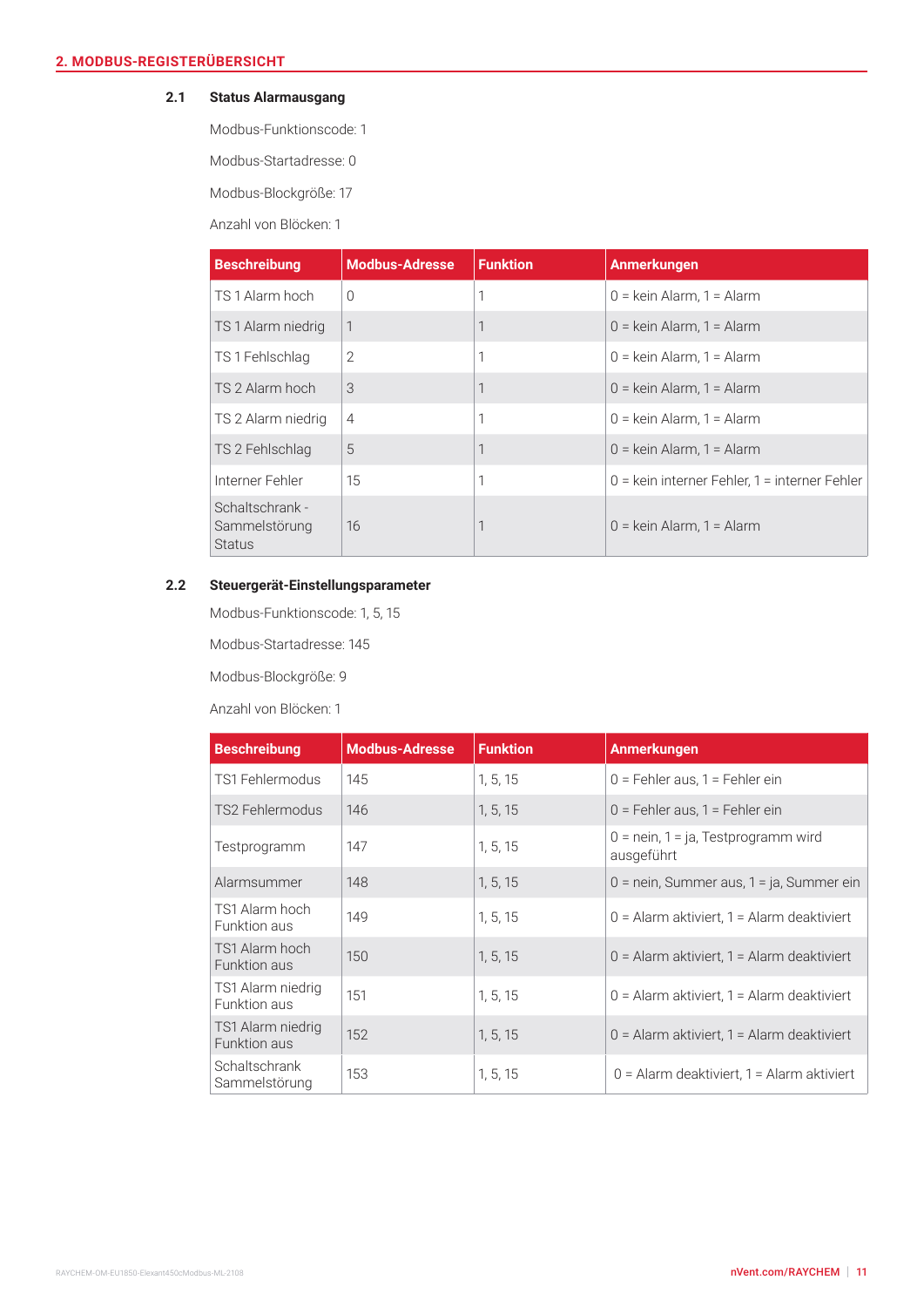# **2.1 Status Alarmausgang**

Modbus-Funktionscode: 1

Modbus-Startadresse: 0

Modbus-Blockgröße: 17

Anzahl von Blöcken: 1

| <b>Beschreibung</b>                               | <b>Modbus-Adresse</b> | <b>Funktion</b> | <b>Anmerkungen</b>                              |
|---------------------------------------------------|-----------------------|-----------------|-------------------------------------------------|
| TS 1 Alarm hoch                                   | $\Omega$              | 1               | $0 =$ kein Alarm, 1 = Alarm                     |
| TS 1 Alarm niedrig                                | 1                     | 1               | $0 =$ kein Alarm, 1 = Alarm                     |
| TS 1 Fehlschlag                                   | $\overline{2}$        | 1               | $0 =$ kein Alarm, 1 = Alarm                     |
| TS 2 Alarm hoch                                   | 3                     | 1               | $0 =$ kein Alarm, 1 = Alarm                     |
| TS 2 Alarm niedrig                                | $\overline{4}$        | 1               | $0 =$ kein Alarm, 1 = Alarm                     |
| TS 2 Fehlschlag                                   | 5                     | 1               | $0 =$ kein Alarm, 1 = Alarm                     |
| Interner Fehler                                   | 15                    | 1               | $0 =$ kein interner Fehler, 1 = interner Fehler |
| Schaltschrank -<br>Sammelstörung<br><b>Status</b> | 16                    |                 | $0 =$ kein Alarm, 1 = Alarm                     |

# **2.2 Steuergerät-Einstellungsparameter**

Modbus-Funktionscode: 1, 5, 15

Modbus-Startadresse: 145

Modbus-Blockgröße: 9

| <b>Beschreibung</b>                   | <b>Modbus-Adresse</b> | <b>Funktion</b> | <b>Anmerkungen</b>                                  |
|---------------------------------------|-----------------------|-----------------|-----------------------------------------------------|
| TS1 Fehlermodus                       | 145                   | 1, 5, 15        | $0 =$ Fehler aus, 1 = Fehler ein                    |
| TS2 Fehlermodus                       | 146                   | 1, 5, 15        | 0 = Fehler aus, 1 = Fehler ein                      |
| Testprogramm                          | 147                   | 1, 5, 15        | $0 =$ nein, 1 = ja, Testprogramm wird<br>ausgeführt |
| Alarmsummer                           | 148                   | 1, 5, 15        | $0 =$ nein, Summer aus, 1 = ja, Summer ein          |
| TS1 Alarm hoch<br>Funktion aus        | 149                   | 1, 5, 15        | $0 =$ Alarm aktiviert, 1 = Alarm deaktiviert        |
| TS1 Alarm hoch<br>Funktion aus        | 150                   | 1, 5, 15        | $0 =$ Alarm aktiviert, 1 = Alarm deaktiviert        |
| TS1 Alarm niedrig<br>Funktion aus     | 151                   | 1, 5, 15        | $0 =$ Alarm aktiviert, 1 = Alarm deaktiviert        |
| TS1 Alarm niedrig<br>Funktion aus     | 152                   | 1, 5, 15        | $0 =$ Alarm aktiviert, 1 = Alarm deaktiviert        |
| <b>Schaltschrank</b><br>Sammelstörung | 153                   | 1, 5, 15        | $0 =$ Alarm deaktiviert, 1 = Alarm aktiviert        |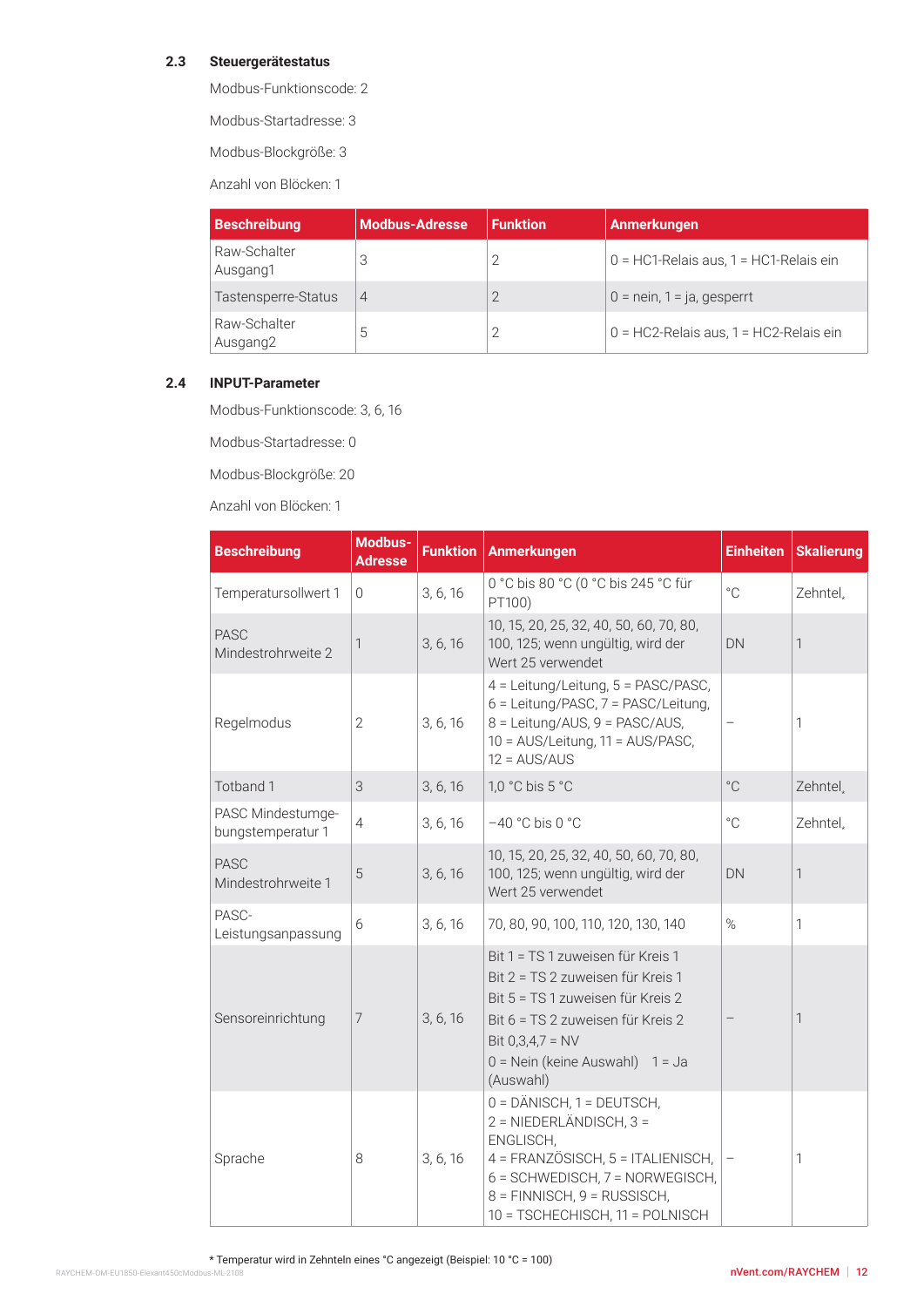# **2.3 Steuergerätestatus**

Modbus-Funktionscode: 2

Modbus-Startadresse: 3

Modbus-Blockgröße: 3

Anzahl von Blöcken: 1

| <b>Beschreibung</b>                  | Modbus-Adresse | <b>Funktion</b> | Anmerkungen                               |
|--------------------------------------|----------------|-----------------|-------------------------------------------|
| Raw-Schalter<br>Ausgang1             |                |                 | $0 = HC1$ -Relais aus, 1 = HC1-Relais ein |
| Tastensperre-Status                  | 4              |                 | $0 =$ nein, 1 = ja, gesperrt              |
| Raw-Schalter<br>Ausgang <sub>2</sub> | G              |                 | $0 = HC2$ -Relais aus, 1 = HC2-Relais ein |

#### **2.4 INPUT-Parameter**

Modbus-Funktionscode: 3, 6, 16

Modbus-Startadresse: 0

Modbus-Blockgröße: 20

| <b>Beschreibung</b>                    | Modbus-<br><b>Adresse</b> | <b>Funktion</b> | <b>Anmerkungen</b>                                                                                                                                                                                                     | <b>Einheiten</b> | <b>Skalierung</b>    |
|----------------------------------------|---------------------------|-----------------|------------------------------------------------------------------------------------------------------------------------------------------------------------------------------------------------------------------------|------------------|----------------------|
| Temperatursollwert 1                   | $\overline{0}$            | 3, 6, 16        | 0 °C bis 80 °C (0 °C bis 245 °C für<br>PT100)                                                                                                                                                                          | $^{\circ}$ C     | Zehntel <sub>+</sub> |
| <b>PASC</b><br>Mindestrohrweite 2      | 1                         | 3, 6, 16        | 10, 15, 20, 25, 32, 40, 50, 60, 70, 80,<br>100, 125; wenn ungültig, wird der<br>Wert 25 verwendet                                                                                                                      | DN               | $\mathbf{1}$         |
| Regelmodus                             | $\mathbf{2}$              | 3, 6, 16        | 4 = Leitung/Leitung, 5 = PASC/PASC,<br>6 = Leitung/PASC, 7 = PASC/Leitung,<br>8 = Leitung/AUS, 9 = PASC/AUS,<br>10 = AUS/Leitung, 11 = AUS/PASC,<br>$12 = AUS/AUS$                                                     |                  | 1                    |
| Totband 1                              | 3                         | 3, 6, 16        | 1,0 °C bis 5 °C                                                                                                                                                                                                        | $^{\circ}$ C     | Zehntel,             |
| PASC Mindestumge-<br>bungstemperatur 1 | $\overline{4}$            | 3, 6, 16        | $-40$ °C bis 0 °C                                                                                                                                                                                                      | $^{\circ}$ C     | Zehntel <sub>+</sub> |
| <b>PASC</b><br>Mindestrohrweite 1      | 5                         | 3, 6, 16        | 10, 15, 20, 25, 32, 40, 50, 60, 70, 80,<br>100, 125; wenn ungültig, wird der<br>Wert 25 verwendet                                                                                                                      | DN               | $\mathbf{1}$         |
| PASC-<br>Leistungsanpassung            | 6                         | 3, 6, 16        | 70, 80, 90, 100, 110, 120, 130, 140                                                                                                                                                                                    | $\%$             | 1                    |
| Sensoreinrichtung                      | 7                         | 3, 6, 16        | Bit 1 = TS 1 zuweisen für Kreis 1<br>Bit 2 = TS 2 zuweisen für Kreis 1<br>Bit 5 = TS 1 zuweisen für Kreis 2<br>Bit 6 = TS 2 zuweisen für Kreis 2<br>Bit $0,3,4,7 = NV$<br>0 = Nein (keine Auswahl) 1 = Ja<br>(Auswahl) |                  | $\mathbf{1}$         |
| Sprache                                | 8                         | 3, 6, 16        | 0 = DÄNISCH, 1 = DEUTSCH,<br>2 = NIEDERLÄNDISCH, 3 =<br>ENGLISCH,<br>4 = FRANZÖSISCH, 5 = ITALIENISCH,<br>6 = SCHWEDISCH, 7 = NORWEGISCH,<br>8 = FINNISCH, 9 = RUSSISCH,<br>10 = TSCHECHISCH, 11 = POLNISCH            |                  | 1                    |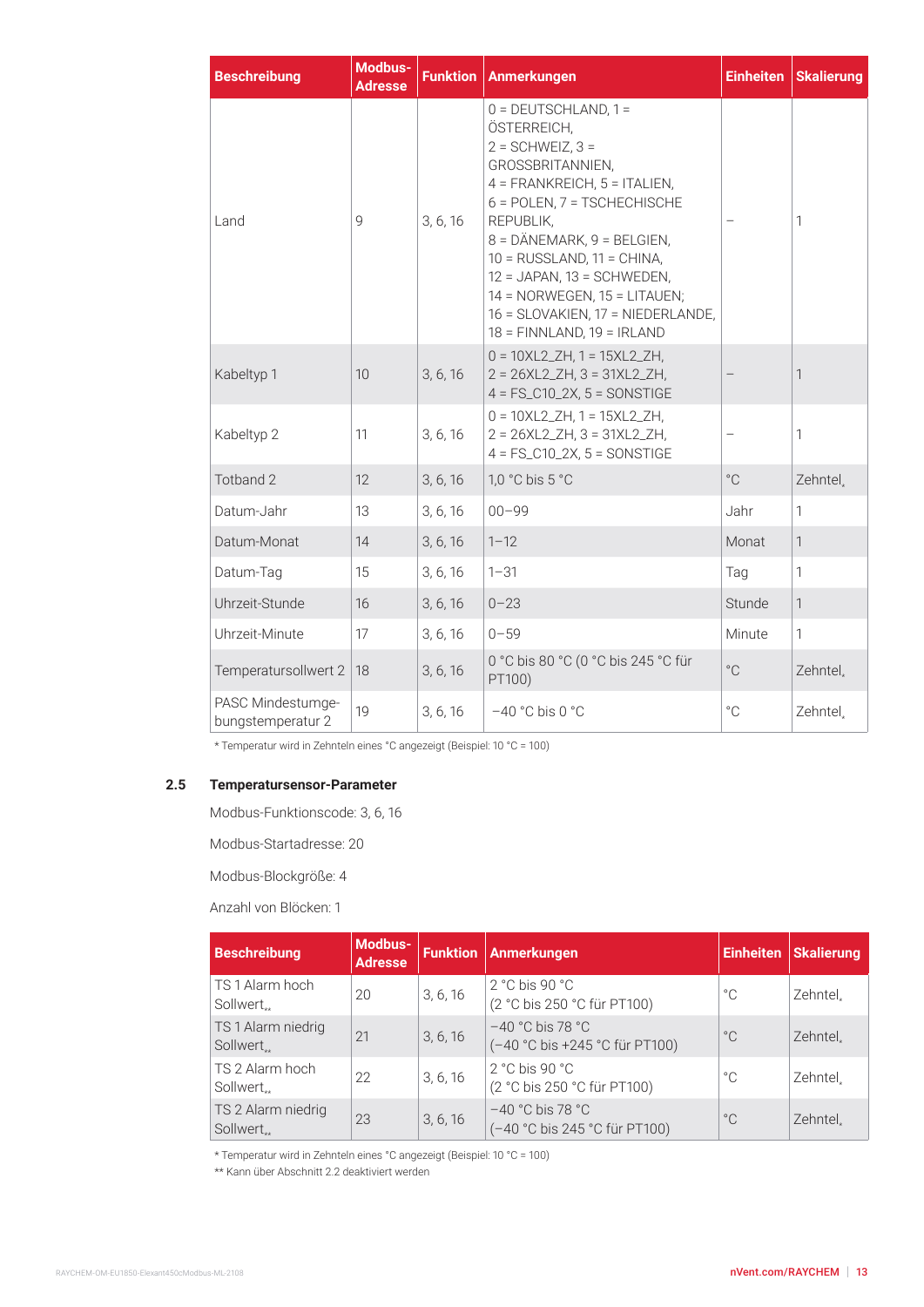| <b>Beschreibung</b>                    | Modbus-<br><b>Adresse</b> | <b>Funktion</b> | <b>Anmerkungen</b>                                                                                                                                                                                                                                                                                                                                                                    | <b>Einheiten</b> | <b>Skalierung</b> |
|----------------------------------------|---------------------------|-----------------|---------------------------------------------------------------------------------------------------------------------------------------------------------------------------------------------------------------------------------------------------------------------------------------------------------------------------------------------------------------------------------------|------------------|-------------------|
| Land                                   | 9                         | 3, 6, 16        | $0 =$ DEUTSCHLAND, $1 =$<br>ÖSTERREICH,<br>$2 = \text{SCHWEIZ}, 3 =$<br>GROSSBRITANNIEN,<br>$4$ = FRANKREICH, $5$ = ITALIEN,<br>6 = POLEN, 7 = TSCHECHISCHE<br>REPUBLIK.<br>$8 = DÄNEMARK, 9 = BELGIEN,$<br>$10 = RUSSLAND$ , $11 = CHINA$ ,<br>$12 = JAPAN$ , $13 = SCHWEDEN$ ,<br>14 = NORWEGEN, 15 = LITAUEN;<br>16 = SLOVAKIEN, 17 = NIEDERLANDE,<br>$18 = FINNLAND, 19 = IRLAND$ |                  | 1                 |
| Kabeltyp 1                             | 10                        | 3, 6, 16        | $0 = 10XL2_ZH$ , 1 = 15XL2_ZH,<br>$2 = 26XL2_ZH, 3 = 31XL2_ZH,$<br>$4 = FS_C10_2X$ , $5 = SONSTIGE$                                                                                                                                                                                                                                                                                   |                  | $\mathbf{1}$      |
| Kabeltyp 2                             | 11                        | 3, 6, 16        | $0 = 10XL2_ZH$ , 1 = 15XL2_ZH,<br>$2 = 26XL2_ZH$ , $3 = 31XL2_ZH$ ,<br>$4 = FS_C10_2X$ , $5 = SONSTIGE$                                                                                                                                                                                                                                                                               |                  | $\mathbf{1}$      |
| Totband 2                              | 12                        | 3, 6, 16        | 1,0 °C bis 5 °C                                                                                                                                                                                                                                                                                                                                                                       | $^{\circ}$ C     | Zehntel.          |
| Datum-Jahr                             | 13                        | 3, 6, 16        | $00 - 99$                                                                                                                                                                                                                                                                                                                                                                             | Jahr             | $\mathbf{1}$      |
| Datum-Monat                            | 14                        | 3, 6, 16        | $1 - 12$                                                                                                                                                                                                                                                                                                                                                                              | Monat            | $\mathbf{1}$      |
| Datum-Tag                              | 15                        | 3, 6, 16        | $1 - 31$                                                                                                                                                                                                                                                                                                                                                                              | Tag              | $\mathbf{1}$      |
| Uhrzeit-Stunde                         | 16                        | 3, 6, 16        | $0 - 23$                                                                                                                                                                                                                                                                                                                                                                              | Stunde           | $\mathbf{1}$      |
| Uhrzeit-Minute                         | 17                        | 3, 6, 16        | $0 - 59$                                                                                                                                                                                                                                                                                                                                                                              | Minute           | $\mathbf{1}$      |
| Temperatursollwert 2                   | 18                        | 3, 6, 16        | 0 °C bis 80 °C (0 °C bis 245 °C für<br>PT100)                                                                                                                                                                                                                                                                                                                                         | $^{\circ}$ C     | Zehntel,          |
| PASC Mindestumge-<br>bungstemperatur 2 | 19                        | 3, 6, 16        | $-40$ °C bis 0 °C                                                                                                                                                                                                                                                                                                                                                                     | $^{\circ}$ C     | Zehntel.          |

\* Temperatur wird in Zehnteln eines °C angezeigt (Beispiel: 10 °C = 100)

# **2.5 Temperatursensor-Parameter**

Modbus-Funktionscode: 3, 6, 16

Modbus-Startadresse: 20

Modbus-Blockgröße: 4

Anzahl von Blöcken: 1

| <b>Beschreibung</b>                          | Modbus-<br><b>Adresse</b> |          | <b>Funktion   Anmerkungen</b>                                    | <b>Einheiten</b> | <b>Skalierung</b> |
|----------------------------------------------|---------------------------|----------|------------------------------------------------------------------|------------------|-------------------|
| TS 1 Alarm hoch<br>Sollwert <sub>**</sub>    | 20                        | 3, 6, 16 | $2 °C$ bis 90 $°C$<br>(2 °C bis 250 °C für PT100)                | $^{\circ}$ C     | Zehntel.          |
| TS 1 Alarm niedrig<br>Sollwert <sub>**</sub> | 21                        | 3, 6, 16 | $-40$ °C bis 78 °C<br>(-40 °C bis +245 °C für PT100)             | $^{\circ}$ C     | Zehntel.          |
| TS 2 Alarm hoch<br>Sollwert <sub>**</sub>    | 22                        | 3, 6, 16 | $2^{\circ}$ C bis 90 $^{\circ}$ C<br>(2 °C bis 250 °C für PT100) | $^{\circ}$ C     | Zehntel.          |
| TS 2 Alarm niedrig<br>Sollwert <sub>**</sub> | 23                        | 3, 6, 16 | $-40$ °C bis 78 °C<br>(-40 °C bis 245 °C für PT100)              | $^{\circ}$ C     | Zehntel.          |

\* Temperatur wird in Zehnteln eines °C angezeigt (Beispiel: 10 °C = 100)

\*\* Kann über Abschnitt 2.2 deaktiviert werden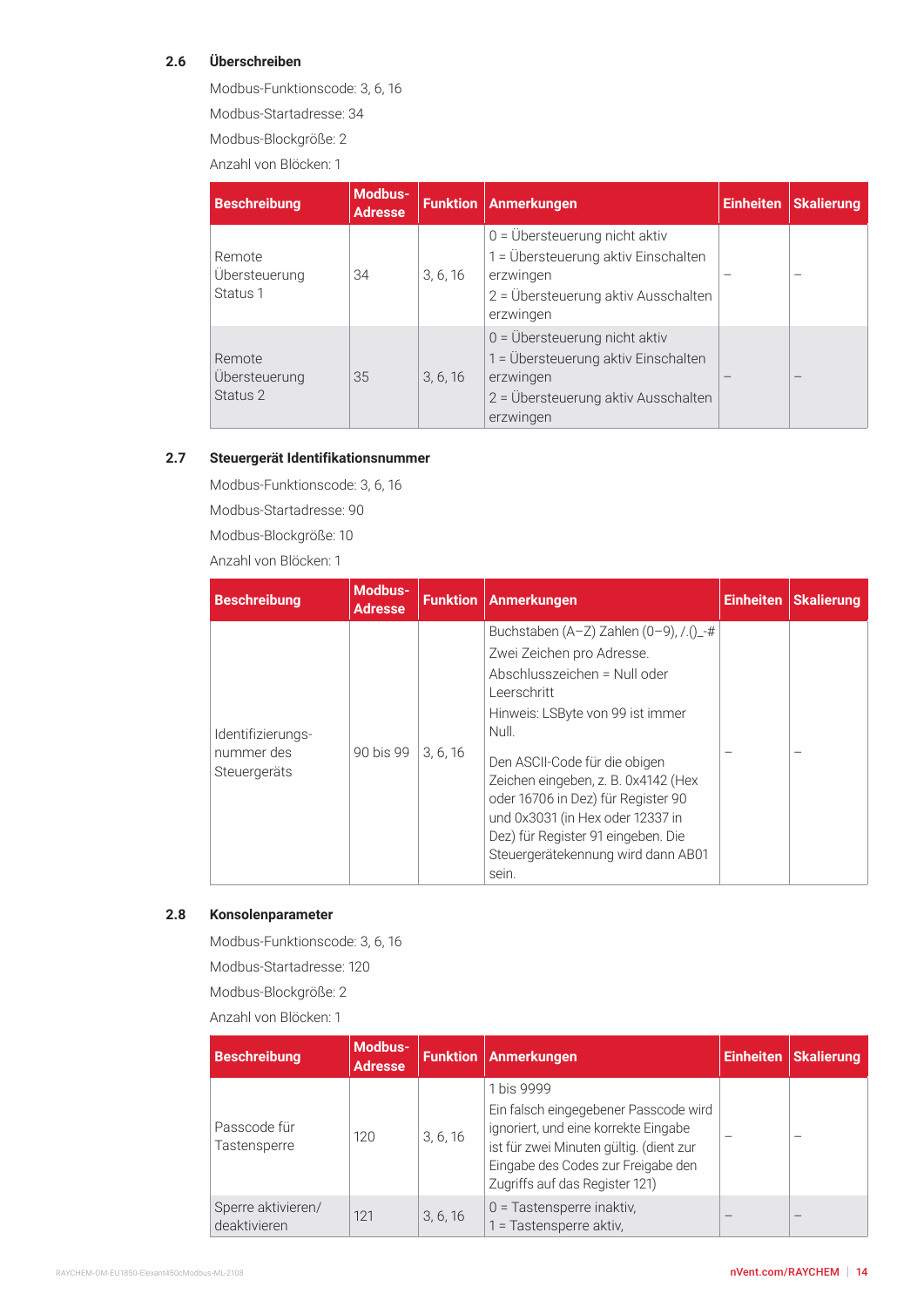# **2.6 Überschreiben**

Modbus-Funktionscode: 3, 6, 16

Modbus-Startadresse: 34

Modbus-Blockgröße: 2

Anzahl von Blöcken: 1

| <b>Beschreibung</b>                 | <b>Modbus-</b><br><b>Adresse</b> |          | <b>Funktion   Anmerkungen</b>                                                                                                                          | <b>Einheiten</b> | <b>Skalierung</b> |  |  |  |
|-------------------------------------|----------------------------------|----------|--------------------------------------------------------------------------------------------------------------------------------------------------------|------------------|-------------------|--|--|--|
| Remote<br>Übersteuerung<br>Status 1 | 34                               | 3, 6, 16 | $0 = \ddot{\cup}$ bersteuerung nicht aktiv<br>1 = Übersteuerung aktiv Einschalten<br>erzwingen<br>2 = Übersteuerung aktiv Ausschalten<br>erzwingen     |                  |                   |  |  |  |
| Remote<br>Übersteuerung<br>Status 2 | 35                               | 3, 6, 16 | $0 = \ddot{\text{U}}$ bersteuerung nicht aktiv<br>1 = Übersteuerung aktiv Einschalten<br>erzwingen<br>2 = Übersteuerung aktiv Ausschalten<br>erzwingen |                  |                   |  |  |  |

#### **2.7 Steuergerät Identifikationsnummer**

Modbus-Funktionscode: 3, 6, 16

Modbus-Startadresse: 90

Modbus-Blockgröße: 10

Anzahl von Blöcken: 1

| <b>Beschreibung</b>                             | Modbus-<br><b>Adresse</b> |          | <b>Funktion Anmerkungen</b>                                                                                                                                                                                                                                                                                                                                                                                    | <b>Einheiten</b> | <b>Skalierung</b> |
|-------------------------------------------------|---------------------------|----------|----------------------------------------------------------------------------------------------------------------------------------------------------------------------------------------------------------------------------------------------------------------------------------------------------------------------------------------------------------------------------------------------------------------|------------------|-------------------|
| Identifizierungs-<br>nummer des<br>Steuergeräts | 90 bis 99                 | 3, 6, 16 | Buchstaben (A-Z) Zahlen (0-9), $/.( )_ {-} \#$<br>Zwei Zeichen pro Adresse.<br>Abschlusszeichen = Null oder<br>Leerschritt<br>Hinweis: LSByte von 99 ist immer<br>Null.<br>Den ASCII-Code für die obigen<br>Zeichen eingeben, z. B. 0x4142 (Hex<br>oder 16706 in Dez) für Register 90<br>und 0x3031 (in Hex oder 12337 in<br>Dez) für Register 91 eingeben. Die<br>Steuergerätekennung wird dann AB01<br>sein. |                  |                   |

# **2.8 Konsolenparameter**

Modbus-Funktionscode: 3, 6, 16 Modbus-Startadresse: 120 Modbus-Blockgröße: 2

| <b>Beschreibung</b>                | Modbus-<br><b>Adresse</b> |          | <b>Funktion   Anmerkungen</b>                                                                                                                                                                                  | <b>Einheiten</b> | <b>Skalierung</b> |
|------------------------------------|---------------------------|----------|----------------------------------------------------------------------------------------------------------------------------------------------------------------------------------------------------------------|------------------|-------------------|
| Passcode für<br>Tastensperre       | 120                       | 3, 6, 16 | 1 bis 9999<br>Ein falsch eingegebener Passcode wird<br>ignoriert, und eine korrekte Eingabe<br>ist für zwei Minuten gültig. (dient zur<br>Eingabe des Codes zur Freigabe den<br>Zugriffs auf das Register 121) |                  |                   |
| Sperre aktivieren/<br>deaktivieren | 121                       | 3, 6, 16 | $0 =$ Tastensperre inaktiv,<br>1 = Tastensperre aktiv.                                                                                                                                                         |                  |                   |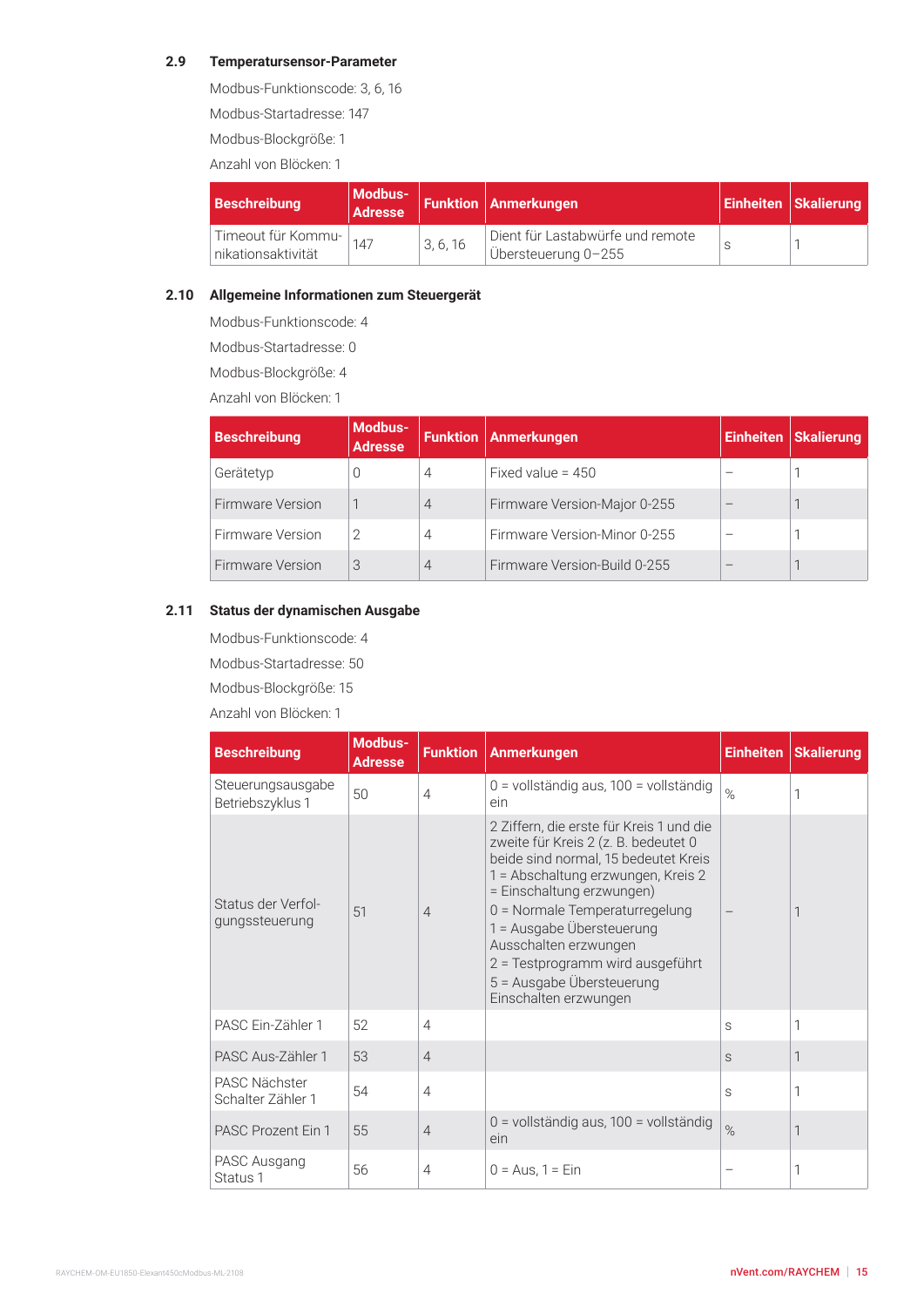#### **2.9 Temperatursensor-Parameter**

Modbus-Funktionscode: 3, 6, 16

Modbus-Startadresse: 147

Modbus-Blockgröße: 1

Anzahl von Blöcken: 1

| <b>Beschreibung</b><br>Adresse           |     |          | Modbus- Funktion Anmerkungen                             | <b>Einheiten   Skalierung</b> |  |  |
|------------------------------------------|-----|----------|----------------------------------------------------------|-------------------------------|--|--|
| Timeout für Kommu-<br>nikationsaktivität | 147 | 3, 6, 16 | Dient für Lastabwürfe und remote<br>∣Übersteuerung 0-255 |                               |  |  |

#### **2.10 Allgemeine Informationen zum Steuergerät**

Modbus-Funktionscode: 4

Modbus-Startadresse: 0

Modbus-Blockgröße: 4

Anzahl von Blöcken: 1

| <b>Beschreibung</b>     | <b>Modbus-</b><br><b>Adresse</b> |                | <b>Funktion   Anmerkungen</b> | Einheiten | <b>Skalierung</b> |  |  |  |
|-------------------------|----------------------------------|----------------|-------------------------------|-----------|-------------------|--|--|--|
| Gerätetyp               | 0                                | 4              | Fixed value = $450$           |           |                   |  |  |  |
| <b>Firmware Version</b> |                                  | $\overline{4}$ | Firmware Version-Major 0-255  |           |                   |  |  |  |
| Firmware Version        | 2                                | 4              | Firmware Version-Minor 0-255  |           |                   |  |  |  |
| Firmware Version        | 3                                | 4              | Firmware Version-Build 0-255  |           |                   |  |  |  |

#### **2.11 Status der dynamischen Ausgabe**

Modbus-Funktionscode: 4

Modbus-Startadresse: 50

Modbus-Blockgröße: 15

| <b>Beschreibung</b>                   | Modbus-<br><b>Adresse</b> | <b>Funktion</b> | Anmerkungen                                                                                                                                                                                                                                                                                                                                                                   |      | Einheiten   Skalierung |  |  |  |  |
|---------------------------------------|---------------------------|-----------------|-------------------------------------------------------------------------------------------------------------------------------------------------------------------------------------------------------------------------------------------------------------------------------------------------------------------------------------------------------------------------------|------|------------------------|--|--|--|--|
| Steuerungsausgabe<br>Betriebszyklus 1 | 50                        | $\overline{4}$  | 0 = vollständig aus, 100 = vollständig<br>ein                                                                                                                                                                                                                                                                                                                                 | $\%$ | 1                      |  |  |  |  |
| Status der Verfol-<br>gungssteuerung  | 51                        | $\overline{4}$  | 2 Ziffern, die erste für Kreis 1 und die<br>zweite für Kreis 2 (z. B. bedeutet 0<br>beide sind normal, 15 bedeutet Kreis<br>1 = Abschaltung erzwungen, Kreis 2<br>= Einschaltung erzwungen)<br>0 = Normale Temperaturregelung<br>1 = Ausgabe Übersteuerung<br>Ausschalten erzwungen<br>2 = Testprogramm wird ausgeführt<br>5 = Ausgabe Übersteuerung<br>Einschalten erzwungen |      |                        |  |  |  |  |
| PASC Ein-Zähler 1                     | 52                        | 4               |                                                                                                                                                                                                                                                                                                                                                                               | S    | 1                      |  |  |  |  |
| PASC Aus-Zähler 1                     | 53                        | $\overline{4}$  |                                                                                                                                                                                                                                                                                                                                                                               | S    | 1                      |  |  |  |  |
| PASC Nächster<br>Schalter Zähler 1    | 54                        |                 |                                                                                                                                                                                                                                                                                                                                                                               | S    | 1                      |  |  |  |  |
| <b>PASC Prozent Ein 1</b>             | 55                        | $\overline{4}$  | 0 = vollständig aus, 100 = vollständig<br>ein                                                                                                                                                                                                                                                                                                                                 | $\%$ | 1                      |  |  |  |  |
| PASC Ausgang<br>Status 1              | 56                        | 4               | $0 = Aus. 1 = Ein$                                                                                                                                                                                                                                                                                                                                                            |      | 1                      |  |  |  |  |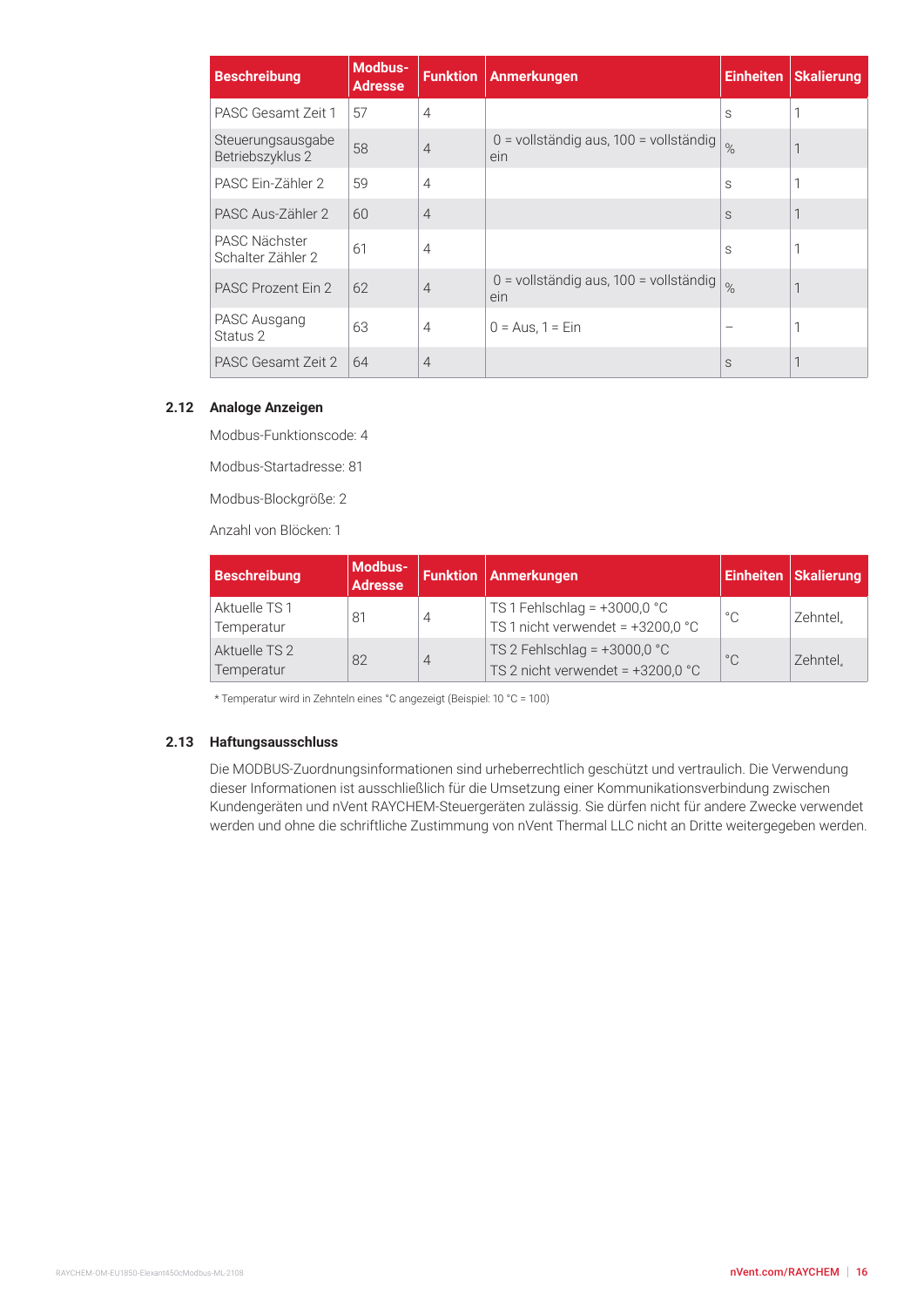| <b>Beschreibung</b>                   | Modbus-<br><b>Adresse</b> | <b>Funktion</b> | Anmerkungen                                   | <b>Einheiten</b> | <b>Skalierung</b> |  |  |
|---------------------------------------|---------------------------|-----------------|-----------------------------------------------|------------------|-------------------|--|--|
| PASC Gesamt Zeit 1                    | 57                        | $\overline{4}$  |                                               | S                |                   |  |  |
| Steuerungsausgabe<br>Betriebszyklus 2 | 58                        | $\overline{4}$  | 0 = vollständig aus, 100 = vollständig<br>ein | $\%$             |                   |  |  |
| PASC Ein-Zähler 2                     | 59                        | $\overline{4}$  |                                               | S                |                   |  |  |
| PASC Aus-Zähler 2                     | 60                        | $\overline{4}$  |                                               | S                | 1                 |  |  |
| PASC Nächster<br>Schalter Zähler 2    | 61                        | $\overline{4}$  |                                               | S                |                   |  |  |
| PASC Prozent Ein 2                    | 62                        | $\overline{4}$  | 0 = vollständig aus, 100 = vollständig<br>ein | $\%$             | 1                 |  |  |
| PASC Ausgang<br>Status 2              | 63                        | $\overline{4}$  | $0 = Aug, 1 = Ein$                            |                  |                   |  |  |
| PASC Gesamt Zeit 2                    | 64                        | $\overline{4}$  |                                               | S                |                   |  |  |

#### **2.12 Analoge Anzeigen**

Modbus-Funktionscode: 4

Modbus-Startadresse: 81

Modbus-Blockgröße: 2

Anzahl von Blöcken: 1

| <b>Beschreibung</b>         | Modbus-<br><b>Adresse</b> |   | <b>Funktion Anmerkungen</b>                                           |              | <b>Einheiten   Skalierung</b> |  |  |
|-----------------------------|---------------------------|---|-----------------------------------------------------------------------|--------------|-------------------------------|--|--|
| Aktuelle TS 1<br>Temperatur | 81                        | 4 | TS 1 Fehlschlag = $+3000,0$ °C<br>TS 1 nicht verwendet = +3200,0 °C   | $^{\circ}$ C | Zehntel.                      |  |  |
| Aktuelle TS 2<br>Temperatur | 82                        | 4 | TS 2 Fehlschlag = $+3000,0$ °C<br>TS 2 nicht verwendet = $+3200,0$ °C | $^{\circ}$ C | Zehntel.                      |  |  |

\* Temperatur wird in Zehnteln eines °C angezeigt (Beispiel: 10 °C = 100)

#### **2.13 Haftungsausschluss**

Die MODBUS-Zuordnungsinformationen sind urheberrechtlich geschützt und vertraulich. Die Verwendung dieser Informationen ist ausschließlich für die Umsetzung einer Kommunikationsverbindung zwischen Kundengeräten und nVent RAYCHEM-Steuergeräten zulässig. Sie dürfen nicht für andere Zwecke verwendet werden und ohne die schriftliche Zustimmung von nVent Thermal LLC nicht an Dritte weitergegeben werden.